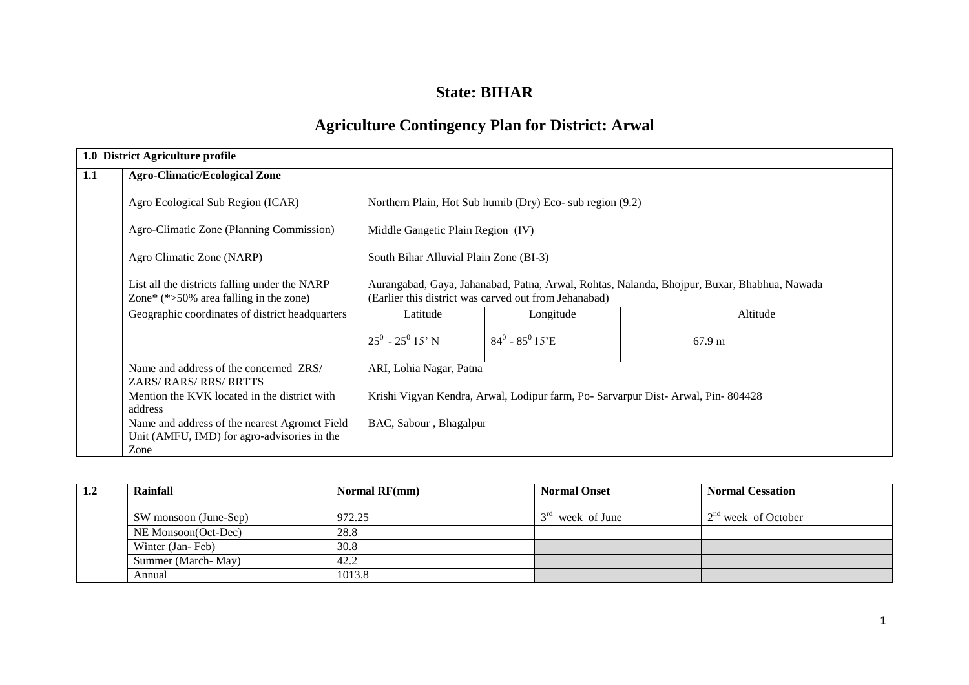## **State: BIHAR**

# **Agriculture Contingency Plan for District: Arwal**

|     | 1.0 District Agriculture profile                                                                     |                                                                                                                                                      |                                                           |          |  |  |  |
|-----|------------------------------------------------------------------------------------------------------|------------------------------------------------------------------------------------------------------------------------------------------------------|-----------------------------------------------------------|----------|--|--|--|
| 1.1 | <b>Agro-Climatic/Ecological Zone</b>                                                                 |                                                                                                                                                      |                                                           |          |  |  |  |
|     | Agro Ecological Sub Region (ICAR)                                                                    |                                                                                                                                                      | Northern Plain, Hot Sub humib (Dry) Eco- sub region (9.2) |          |  |  |  |
|     | Agro-Climatic Zone (Planning Commission)                                                             | Middle Gangetic Plain Region (IV)                                                                                                                    |                                                           |          |  |  |  |
|     | Agro Climatic Zone (NARP)                                                                            | South Bihar Alluvial Plain Zone (BI-3)                                                                                                               |                                                           |          |  |  |  |
|     | List all the districts falling under the NARP<br>Zone* $(*>50\%$ area falling in the zone)           | Aurangabad, Gaya, Jahanabad, Patna, Arwal, Rohtas, Nalanda, Bhojpur, Buxar, Bhabhua, Nawada<br>(Earlier this district was carved out from Jehanabad) |                                                           |          |  |  |  |
|     | Geographic coordinates of district headquarters                                                      | Latitude                                                                                                                                             | Longitude                                                 | Altitude |  |  |  |
|     |                                                                                                      | $25^0 - 25^0$ 15' N                                                                                                                                  | $84^0 - 85^0 15$ E                                        | 67.9 m   |  |  |  |
|     | Name and address of the concerned ZRS/<br><b>ZARS/ RARS/ RRS/ RRTTS</b>                              | ARI, Lohia Nagar, Patna                                                                                                                              |                                                           |          |  |  |  |
|     | Mention the KVK located in the district with<br>address                                              | Krishi Vigyan Kendra, Arwal, Lodipur farm, Po- Sarvarpur Dist- Arwal, Pin- 804428                                                                    |                                                           |          |  |  |  |
|     | Name and address of the nearest Agromet Field<br>Unit (AMFU, IMD) for agro-advisories in the<br>Zone | BAC, Sabour, Bhagalpur                                                                                                                               |                                                           |          |  |  |  |

| 1.2 | Rainfall              | Normal $RF(mm)$ | <b>Normal Onset</b>             | <b>Normal Cessation</b> |
|-----|-----------------------|-----------------|---------------------------------|-------------------------|
|     | SW monsoon (June-Sep) | 972.25          | $2^{\text{rd}}$<br>week of June | $2nd$ week of October   |
|     | NE Monsoon(Oct-Dec)   | 28.8            |                                 |                         |
|     | Winter (Jan-Feb)      | 30.8            |                                 |                         |
|     | Summer (March-May)    | 42.2            |                                 |                         |
|     | Annual                | 1013.8          |                                 |                         |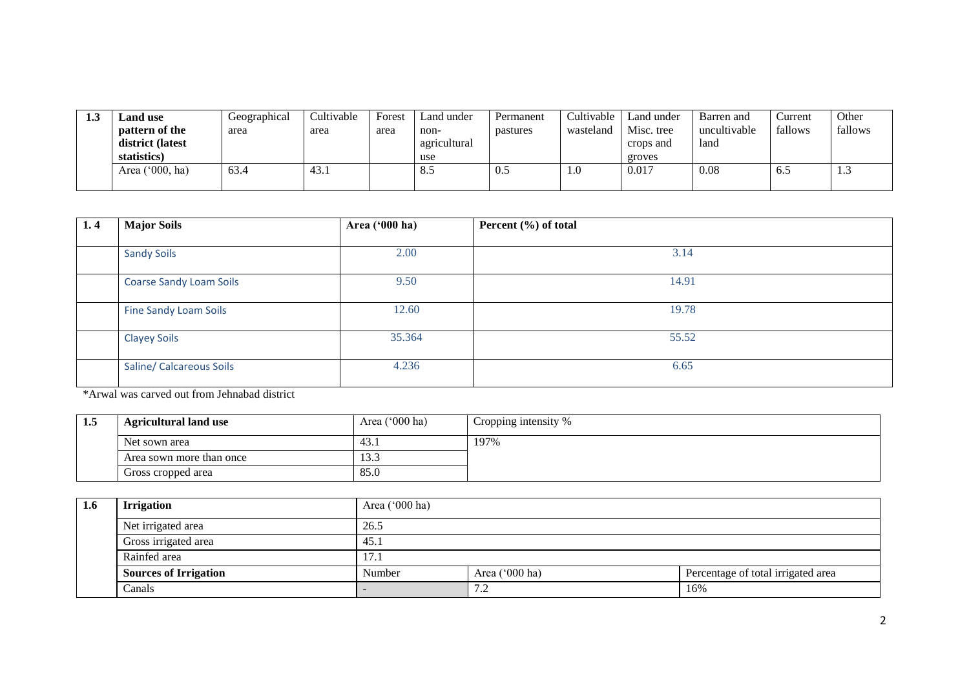| 1.3 | <b>Land use</b>  | Geographical | Cultivable | Forest | Land under   | Permanent | Cultivable | Land under | Barren and   | ∠urrent | Other   |
|-----|------------------|--------------|------------|--------|--------------|-----------|------------|------------|--------------|---------|---------|
|     | pattern of the   | area         | area       | area   | non-         | pastures  | wasteland  | Misc. tree | uncultivable | fallows | fallows |
|     | district (latest |              |            |        | agricultural |           |            | crops and  | land         |         |         |
|     | statistics)      |              |            |        | use          |           |            | groves     |              |         |         |
|     | Area ('000, ha)  | 63.4         | 43.1       |        | 8.5          | 0.5       | 1.V        | 0.017      | 0.08         | 0.5     | 1.3     |
|     |                  |              |            |        |              |           |            |            |              |         |         |

| 1.4 | <b>Major Soils</b>             | Area ('000 ha) | Percent (%) of total |
|-----|--------------------------------|----------------|----------------------|
|     |                                |                |                      |
|     | <b>Sandy Soils</b>             | 2.00           | 3.14                 |
|     | <b>Coarse Sandy Loam Soils</b> | 9.50           | 14.91                |
|     | Fine Sandy Loam Soils          | 12.60          | 19.78                |
|     | <b>Clayey Soils</b>            | 35.364         | 55.52                |
|     | Saline/ Calcareous Soils       | 4.236          | 6.65                 |

\*Arwal was carved out from Jehnabad district

| -1.5 | <b>Agricultural land use</b> | Area $('000 ha)$ | Cropping intensity % |
|------|------------------------------|------------------|----------------------|
|      | Net sown area                | 43.1             | 197%                 |
|      | Area sown more than once     | 15.5             |                      |
|      | Gross cropped area           | 85.0             |                      |

| 1.6 | <b>Irrigation</b>            | Area $('000 ha)$ |                                                        |  |  |  |  |  |  |
|-----|------------------------------|------------------|--------------------------------------------------------|--|--|--|--|--|--|
|     | Net irrigated area           | 26.5             |                                                        |  |  |  |  |  |  |
|     | Gross irrigated area         | 45.1             |                                                        |  |  |  |  |  |  |
|     | Rainfed area                 | 17.1             |                                                        |  |  |  |  |  |  |
|     | <b>Sources of Irrigation</b> | Number           | Area $('000 ha)$<br>Percentage of total irrigated area |  |  |  |  |  |  |
|     | Canals                       |                  | $\sqrt{2}$<br>16%<br>$\overline{\phantom{a}}$          |  |  |  |  |  |  |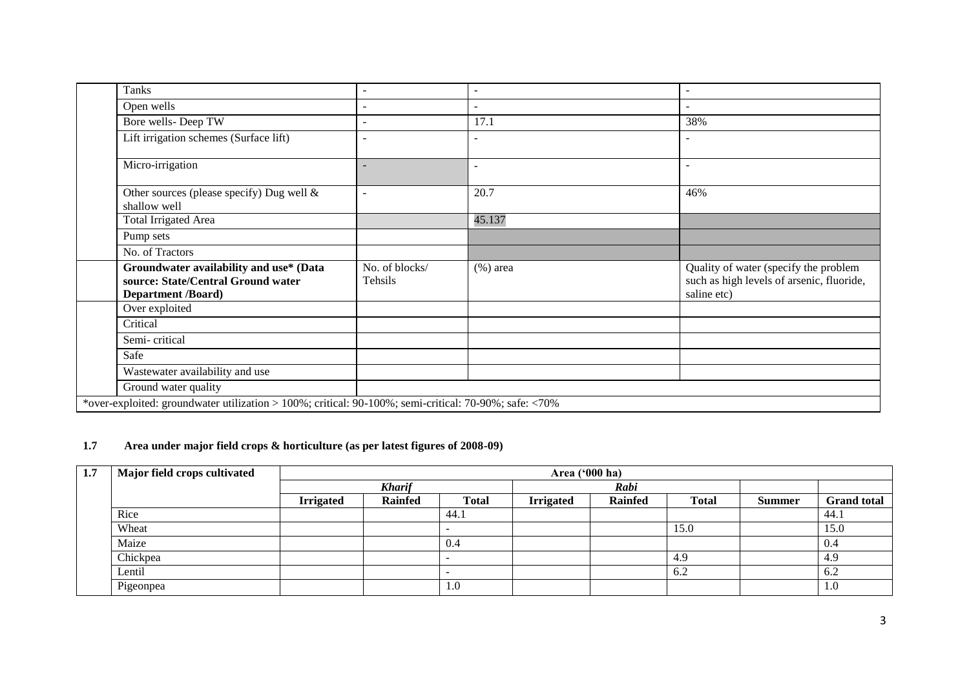|  | <b>Tanks</b>                                                                                               |                           | $\overline{\phantom{0}}$ |                                                                                                   |
|--|------------------------------------------------------------------------------------------------------------|---------------------------|--------------------------|---------------------------------------------------------------------------------------------------|
|  | Open wells                                                                                                 |                           | $\blacksquare$           |                                                                                                   |
|  | Bore wells-Deep TW                                                                                         |                           | 17.1                     | 38%                                                                                               |
|  | Lift irrigation schemes (Surface lift)                                                                     |                           |                          |                                                                                                   |
|  | Micro-irrigation                                                                                           |                           | $\overline{\phantom{a}}$ |                                                                                                   |
|  | Other sources (please specify) Dug well &<br>shallow well                                                  |                           | 20.7                     | 46%                                                                                               |
|  | <b>Total Irrigated Area</b>                                                                                |                           | 45.137                   |                                                                                                   |
|  | Pump sets                                                                                                  |                           |                          |                                                                                                   |
|  | No. of Tractors                                                                                            |                           |                          |                                                                                                   |
|  | Groundwater availability and use* (Data<br>source: State/Central Ground water<br><b>Department /Board)</b> | No. of blocks/<br>Tehsils | $(\%)$ area              | Quality of water (specify the problem<br>such as high levels of arsenic, fluoride,<br>saline etc) |
|  | Over exploited                                                                                             |                           |                          |                                                                                                   |
|  | Critical                                                                                                   |                           |                          |                                                                                                   |
|  | Semi-critical                                                                                              |                           |                          |                                                                                                   |
|  | Safe                                                                                                       |                           |                          |                                                                                                   |
|  | Wastewater availability and use                                                                            |                           |                          |                                                                                                   |
|  | Ground water quality                                                                                       |                           |                          |                                                                                                   |
|  | *over-exploited: groundwater utilization > 100%; critical: 90-100%; semi-critical: 70-90%; safe: <70%      |                           |                          |                                                                                                   |

## **1.7 Area under major field crops & horticulture (as per latest figures of 2008-09)**

| 1.7 | Major field crops cultivated |                  | Area ('000 ha) |              |                  |                |              |               |                    |  |
|-----|------------------------------|------------------|----------------|--------------|------------------|----------------|--------------|---------------|--------------------|--|
|     |                              |                  | <b>Kharif</b>  |              |                  | Rabi           |              |               |                    |  |
|     |                              | <b>Irrigated</b> | <b>Rainfed</b> | <b>Total</b> | <b>Irrigated</b> | <b>Rainfed</b> | <b>Total</b> | <b>Summer</b> | <b>Grand</b> total |  |
|     | Rice                         |                  |                | 44.1         |                  |                |              |               | 44.1               |  |
|     | Wheat                        |                  |                |              |                  |                | 15.0         |               | 15.0               |  |
|     | Maize                        |                  |                | 0.4          |                  |                |              |               | -0.4               |  |
|     | Chickpea                     |                  |                |              |                  |                | 4.9          |               | 4.9                |  |
|     | Lentil                       |                  |                |              |                  |                | 6.2          |               | 6.2                |  |
|     | Pigeonpea                    |                  |                | 1.0          |                  |                |              |               | 1.0                |  |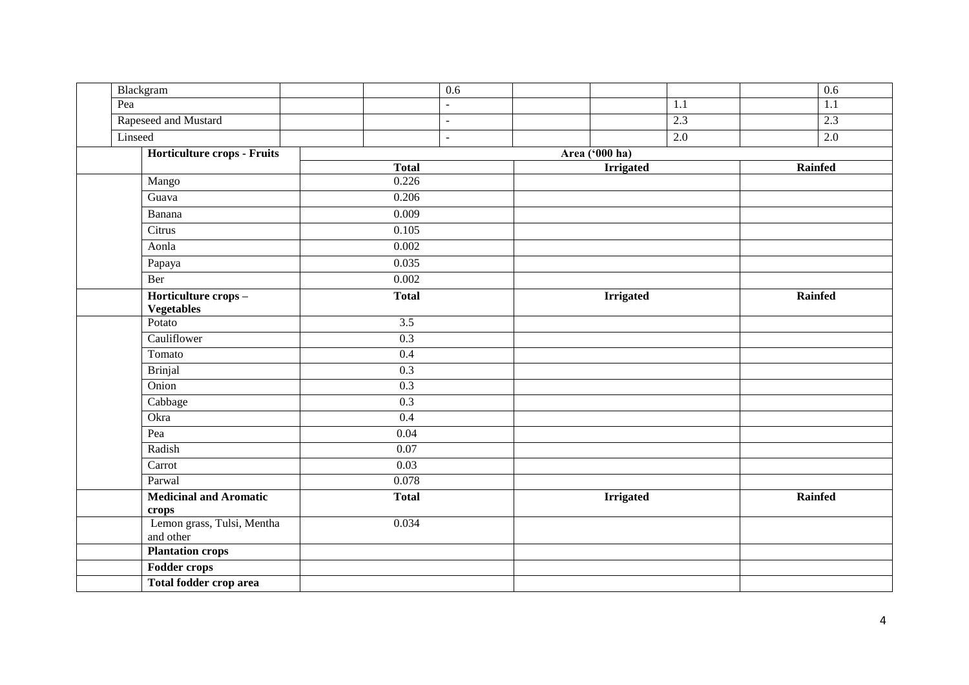| Blackgram                                | 0.6               |                  | 0.6              |  |
|------------------------------------------|-------------------|------------------|------------------|--|
| Pea                                      | $\blacksquare$    | 1.1              | 1.1              |  |
| Rapeseed and Mustard                     | $\equiv$          | 2.3              | 2.3              |  |
| Linseed                                  | $\blacksquare$    | $\overline{2.0}$ | $\overline{2.0}$ |  |
| Horticulture crops - Fruits              |                   | Area ('000 ha)   |                  |  |
|                                          | <b>Total</b>      | <b>Irrigated</b> | Rainfed          |  |
| Mango                                    | 0.226             |                  |                  |  |
| Guava                                    | 0.206             |                  |                  |  |
| Banana                                   | 0.009             |                  |                  |  |
| Citrus                                   | 0.105             |                  |                  |  |
| Aonla                                    | 0.002             |                  |                  |  |
| Papaya                                   | 0.035             |                  |                  |  |
| Ber                                      | 0.002             |                  |                  |  |
| Horticulture crops-<br><b>Vegetables</b> | <b>Total</b>      | <b>Irrigated</b> | Rainfed          |  |
| Potato                                   | $\overline{3.5}$  |                  |                  |  |
| Cauliflower                              | 0.3               |                  |                  |  |
| Tomato                                   | 0.4               |                  |                  |  |
| <b>Brinjal</b>                           | 0.3               |                  |                  |  |
| Onion                                    | $\overline{0.3}$  |                  |                  |  |
| Cabbage                                  | $\overline{0.3}$  |                  |                  |  |
| Okra                                     | $\overline{0.4}$  |                  |                  |  |
| Pea                                      | $\overline{0.04}$ |                  |                  |  |
| Radish                                   | 0.07              |                  |                  |  |
| Carrot                                   | 0.03              |                  |                  |  |
| Parwal                                   | 0.078             |                  |                  |  |
| <b>Medicinal and Aromatic</b><br>crops   | <b>Total</b>      | <b>Irrigated</b> | Rainfed          |  |
| Lemon grass, Tulsi, Mentha<br>and other  | 0.034             |                  |                  |  |
| <b>Plantation crops</b>                  |                   |                  |                  |  |
| <b>Fodder crops</b>                      |                   |                  |                  |  |
| Total fodder crop area                   |                   |                  |                  |  |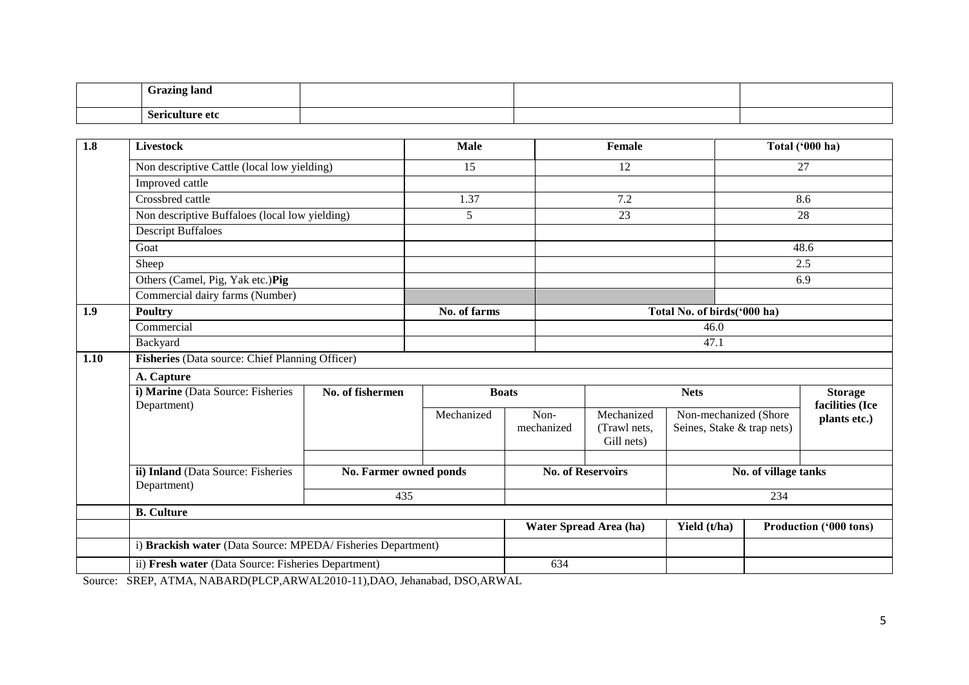| <b>Frazing land</b><br><b>GLAZILIE</b> |  |  |
|----------------------------------------|--|--|
| -<br>Comion Hur<br>re etc              |  |  |

| 1.8              | <b>Livestock</b>                                            |                        | <b>Male</b>     | <b>Female</b>      |                            | Total ('000 ha)                                      |                      |                                 |
|------------------|-------------------------------------------------------------|------------------------|-----------------|--------------------|----------------------------|------------------------------------------------------|----------------------|---------------------------------|
|                  | Non descriptive Cattle (local low yielding)                 |                        | $\overline{15}$ |                    | $\overline{12}$            |                                                      | $\overline{27}$      |                                 |
|                  | Improved cattle                                             |                        |                 |                    |                            |                                                      |                      |                                 |
|                  | Crossbred cattle                                            |                        | 1.37            |                    | 7.2                        |                                                      |                      | 8.6                             |
|                  | Non descriptive Buffaloes (local low yielding)              |                        | 5               |                    | 23                         |                                                      |                      | 28                              |
|                  | <b>Descript Buffaloes</b>                                   |                        |                 |                    |                            |                                                      |                      |                                 |
|                  | Goat                                                        |                        |                 |                    |                            |                                                      |                      | 48.6                            |
|                  | Sheep                                                       |                        |                 |                    |                            |                                                      |                      | 2.5                             |
|                  | Others (Camel, Pig, Yak etc.)Pig                            |                        |                 |                    |                            |                                                      |                      | 6.9                             |
|                  | Commercial dairy farms (Number)                             |                        |                 |                    |                            |                                                      |                      |                                 |
| 1.9 <sup>°</sup> | <b>Poultry</b>                                              |                        | No. of farms    |                    |                            | Total No. of birds('000 ha)                          |                      |                                 |
|                  | Commercial                                                  |                        |                 |                    |                            | 46.0                                                 |                      |                                 |
|                  | Backyard                                                    |                        |                 | 47.1               |                            |                                                      |                      |                                 |
| 1.10             | Fisheries (Data source: Chief Planning Officer)             |                        |                 |                    |                            |                                                      |                      |                                 |
|                  | A. Capture                                                  |                        |                 |                    |                            |                                                      |                      |                                 |
|                  | i) Marine (Data Source: Fisheries                           | No. of fishermen       | <b>Boats</b>    |                    | <b>Nets</b>                |                                                      |                      | <b>Storage</b>                  |
|                  | Department)                                                 |                        | Mechanized      | Non-<br>mechanized | Mechanized<br>(Trawl nets, | Non-mechanized (Shore)<br>Seines, Stake & trap nets) |                      | facilities (Ice<br>plants etc.) |
|                  |                                                             |                        |                 |                    | Gill nets)                 |                                                      |                      |                                 |
|                  | ii) Inland (Data Source: Fisheries<br>Department)           | No. Farmer owned ponds |                 |                    | <b>No. of Reservoirs</b>   |                                                      | No. of village tanks |                                 |
|                  |                                                             | 435                    |                 |                    |                            |                                                      | 234                  |                                 |
|                  | <b>B.</b> Culture                                           |                        |                 |                    |                            |                                                      |                      |                                 |
|                  |                                                             |                        |                 |                    | Water Spread Area (ha)     | Yield (t/ha)                                         |                      | <b>Production ('000 tons)</b>   |
|                  | i) Brackish water (Data Source: MPEDA/Fisheries Department) |                        |                 |                    |                            |                                                      |                      |                                 |
|                  | ii) Fresh water (Data Source: Fisheries Department)         |                        |                 | 634                |                            |                                                      |                      |                                 |

Source: SREP, ATMA, NABARD(PLCP,ARWAL2010-11),DAO, Jehanabad, DSO,ARWAL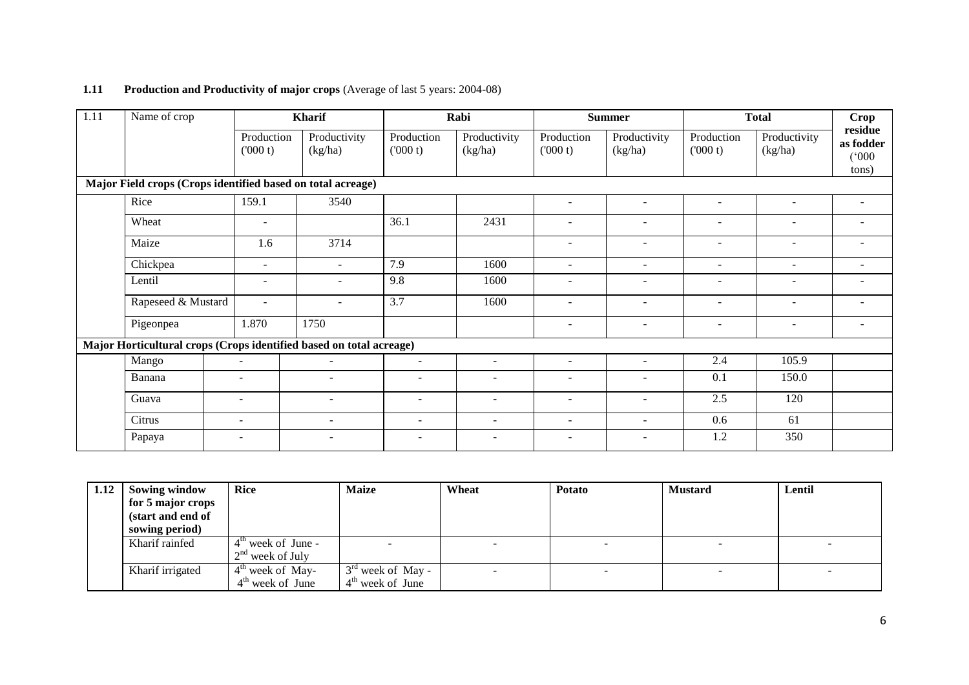### **1.11** Production and Productivity of major crops (Average of last 5 years: 2004-08)

| 1.11                                                                 | Name of crop                                                        |                          | <b>Kharif</b>            |                          | Rabi                     |                          | <b>Summer</b>            |                          | <b>Total</b>             | Crop                          |
|----------------------------------------------------------------------|---------------------------------------------------------------------|--------------------------|--------------------------|--------------------------|--------------------------|--------------------------|--------------------------|--------------------------|--------------------------|-------------------------------|
|                                                                      |                                                                     | Production<br>(000 t)    | Productivity<br>(kg/ha)  | Production<br>(000 t)    | Productivity<br>(kg/ha)  | Production<br>(000 t)    | Productivity<br>(kg/ha)  | Production<br>(000 t)    | Productivity<br>(kg/ha)  | residue<br>as fodder<br>(000) |
| tons)<br>Major Field crops (Crops identified based on total acreage) |                                                                     |                          |                          |                          |                          |                          |                          |                          |                          |                               |
|                                                                      | Rice                                                                | 159.1                    | 3540                     |                          |                          | $\overline{\phantom{a}}$ |                          | $\overline{\phantom{a}}$ | $\sim$                   |                               |
|                                                                      |                                                                     |                          |                          |                          |                          |                          |                          |                          |                          |                               |
|                                                                      | Wheat                                                               | $\blacksquare$           |                          | 36.1                     | 2431                     | $\overline{\phantom{0}}$ |                          | $\blacksquare$           | $\overline{\phantom{a}}$ |                               |
|                                                                      | Maize                                                               | 1.6                      | 3714                     |                          |                          | $\sim$                   | $\sim$                   | $\sim$                   | $\sim$                   |                               |
|                                                                      | Chickpea                                                            | $\overline{\phantom{a}}$ | $\sim$                   | 7.9                      | 1600                     | $\sim$                   | $\overline{\phantom{a}}$ | $\sim$                   | $\sim$                   | $\overline{\phantom{a}}$      |
|                                                                      | Lentil                                                              | $\blacksquare$           | $\overline{\phantom{a}}$ | 9.8                      | 1600                     | ٠                        |                          |                          | $\overline{\phantom{a}}$ |                               |
|                                                                      | Rapeseed & Mustard                                                  | $\blacksquare$           | $\overline{\phantom{a}}$ | 3.7                      | 1600                     | $\overline{\phantom{a}}$ | $\overline{\phantom{a}}$ | $\overline{\phantom{a}}$ | $\overline{\phantom{a}}$ |                               |
|                                                                      | Pigeonpea                                                           | 1.870                    | 1750                     |                          |                          | $\overline{\phantom{a}}$ | $\overline{\phantom{a}}$ | $\overline{\phantom{a}}$ | $\overline{\phantom{a}}$ |                               |
|                                                                      | Major Horticultural crops (Crops identified based on total acreage) |                          |                          |                          |                          |                          |                          |                          |                          |                               |
|                                                                      | Mango                                                               | $\overline{\phantom{a}}$ | $\overline{\phantom{a}}$ | $\overline{\phantom{a}}$ | $\blacksquare$           | $\overline{\phantom{a}}$ | $\overline{\phantom{a}}$ | 2.4                      | 105.9                    |                               |
|                                                                      | Banana                                                              |                          | ۰                        |                          |                          | ÷                        |                          | 0.1                      | 150.0                    |                               |
|                                                                      | Guava                                                               | $\overline{\phantom{a}}$ | $\blacksquare$           | $\overline{\phantom{a}}$ | $\sim$                   | $\overline{\phantom{a}}$ | $\overline{\phantom{a}}$ | 2.5                      | 120                      |                               |
|                                                                      | Citrus                                                              | $\sim$                   | $\overline{\phantom{a}}$ | $\overline{\phantom{a}}$ | $\overline{\phantom{a}}$ | $\overline{\phantom{a}}$ | $\overline{\phantom{a}}$ | 0.6                      | 61                       |                               |
|                                                                      | Papaya                                                              |                          | ۰                        | $\overline{\phantom{a}}$ |                          | ٠                        |                          | 1.2                      | 350                      |                               |

| 1.12 | Sowing window     | <b>Rice</b>                    | <b>Maize</b>                     | Wheat | <b>Potato</b> | <b>Mustard</b> | Lentil |
|------|-------------------|--------------------------------|----------------------------------|-------|---------------|----------------|--------|
|      | for 5 major crops |                                |                                  |       |               |                |        |
|      | (start and end of |                                |                                  |       |               |                |        |
|      | sowing period)    |                                |                                  |       |               |                |        |
|      | Kharif rainfed    | $4^{\text{th}}$ week of June - |                                  |       |               |                |        |
|      |                   | $2nd$ week of July             |                                  |       |               |                |        |
|      | Kharif irrigated  | $4^{\text{th}}$ week of May-   | $\frac{3^{rd}}{s}$ week of May - |       |               |                |        |
|      |                   | $4th$ week of June             | $4th$ week of June               |       |               |                |        |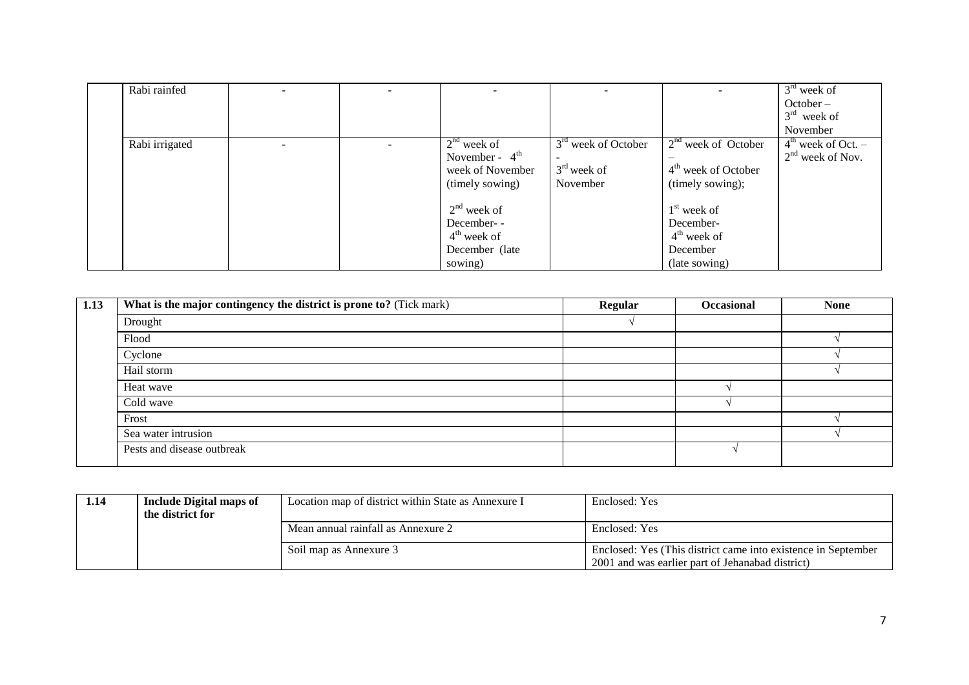| Rabi rainfed   | $\sim$                   | $\overline{\phantom{a}}$ | $\sim$           |                       |                                 | $3rd$ week of<br>$October -$ |
|----------------|--------------------------|--------------------------|------------------|-----------------------|---------------------------------|------------------------------|
|                |                          |                          |                  |                       |                                 | $3rd$ week of<br>November    |
|                |                          |                          | $2nd$ week of    | $3rd$ week of October | $2nd$ week of October           | $4th$ week of Oct. –         |
| Rabi irrigated | $\overline{\phantom{0}}$ | $\sim$                   | November - $4th$ |                       |                                 | $2nd$ week of Nov.           |
|                |                          |                          |                  | $3rd$ week of         |                                 |                              |
|                |                          |                          | week of November |                       | 4 <sup>th</sup> week of October |                              |
|                |                          |                          | (timely sowing)  | November              | (timely sowing);                |                              |
|                |                          |                          | $2nd$ week of    |                       | $1st$ week of                   |                              |
|                |                          |                          | December--       |                       | December-                       |                              |
|                |                          |                          | $4th$ week of    |                       | $4th$ week of                   |                              |
|                |                          |                          | December (late   |                       | December                        |                              |
|                |                          |                          | sowing)          |                       | (late sowing)                   |                              |

| 1.13 | What is the major contingency the district is prone to? (Tick mark) | <b>Regular</b> | <b>Occasional</b> | <b>None</b> |
|------|---------------------------------------------------------------------|----------------|-------------------|-------------|
|      | Drought                                                             |                |                   |             |
|      | Flood                                                               |                |                   |             |
|      | Cyclone                                                             |                |                   |             |
|      | Hail storm                                                          |                |                   |             |
|      | Heat wave                                                           |                |                   |             |
|      | Cold wave                                                           |                |                   |             |
|      | Frost                                                               |                |                   |             |
|      | Sea water intrusion                                                 |                |                   |             |
|      | Pests and disease outbreak                                          |                |                   |             |

| 1.14 | Include Digital maps of<br>the district for | Location map of district within State as Annexure I | Enclosed: Yes                                                                                                     |  |
|------|---------------------------------------------|-----------------------------------------------------|-------------------------------------------------------------------------------------------------------------------|--|
|      |                                             | Mean annual rainfall as Annexure 2                  | Enclosed: Yes                                                                                                     |  |
|      |                                             | Soil map as Annexure 3                              | Enclosed: Yes (This district came into existence in September<br>2001 and was earlier part of Jehanabad district) |  |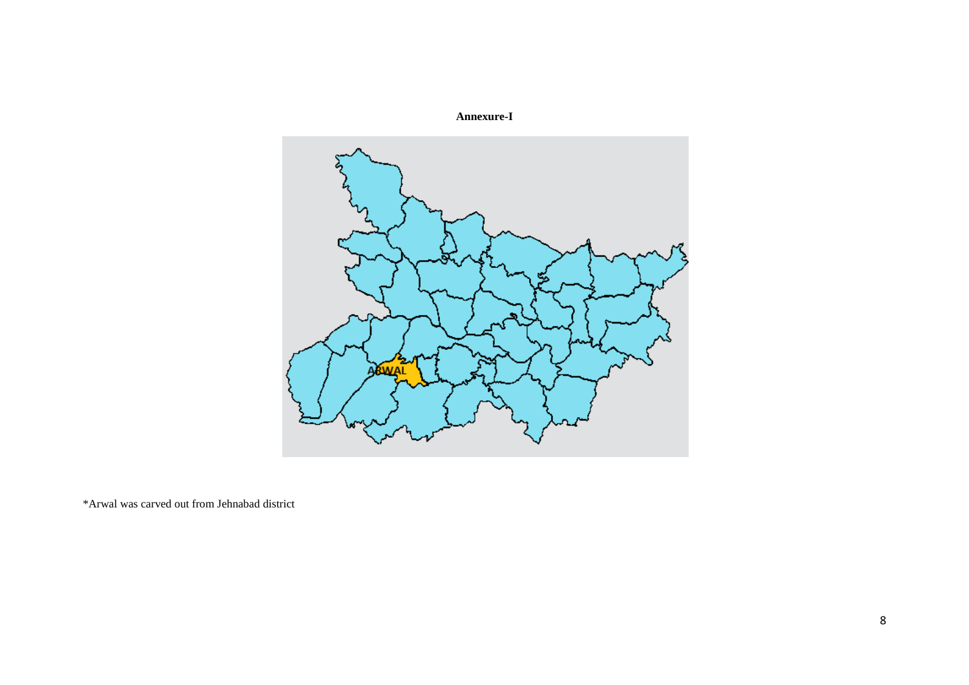

\*Arwal was carved out from Jehnabad district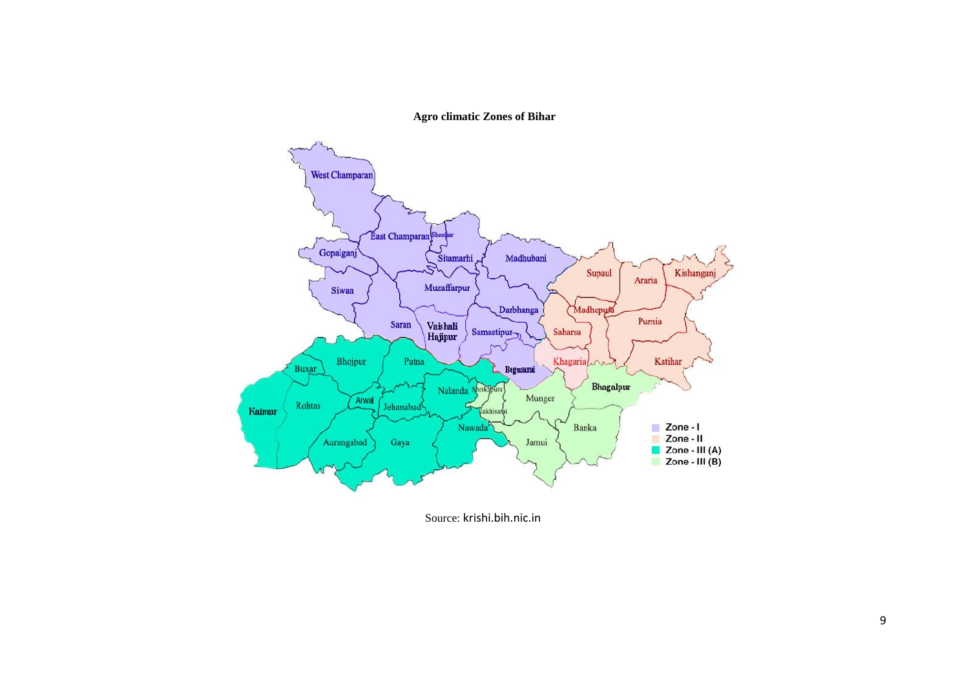**Agro climatic Zones of Bihar**



Source: krishi.bih.nic.in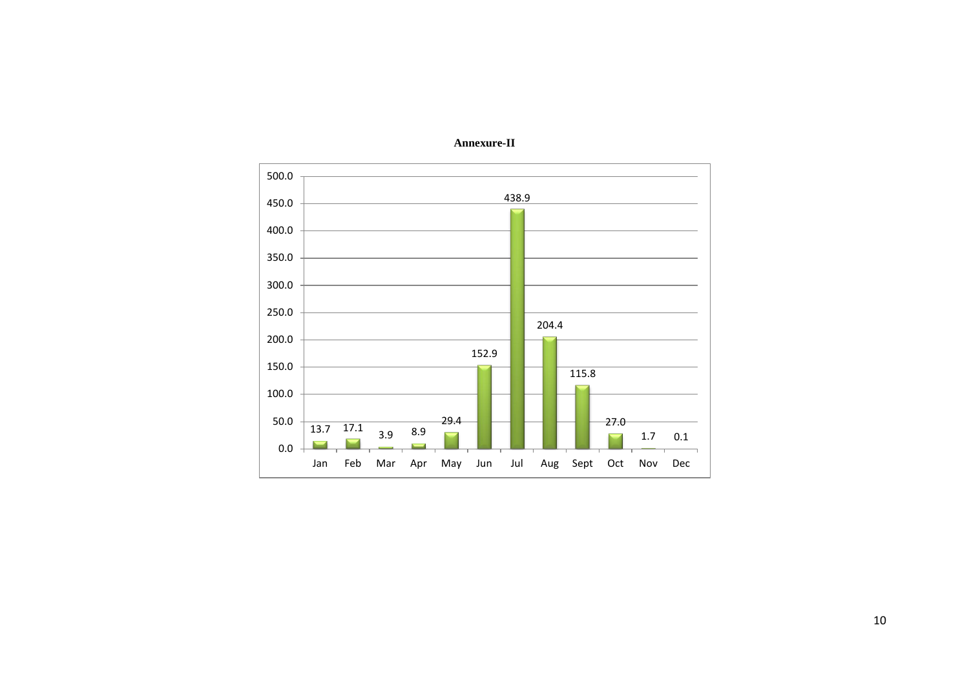

**Annexure-II**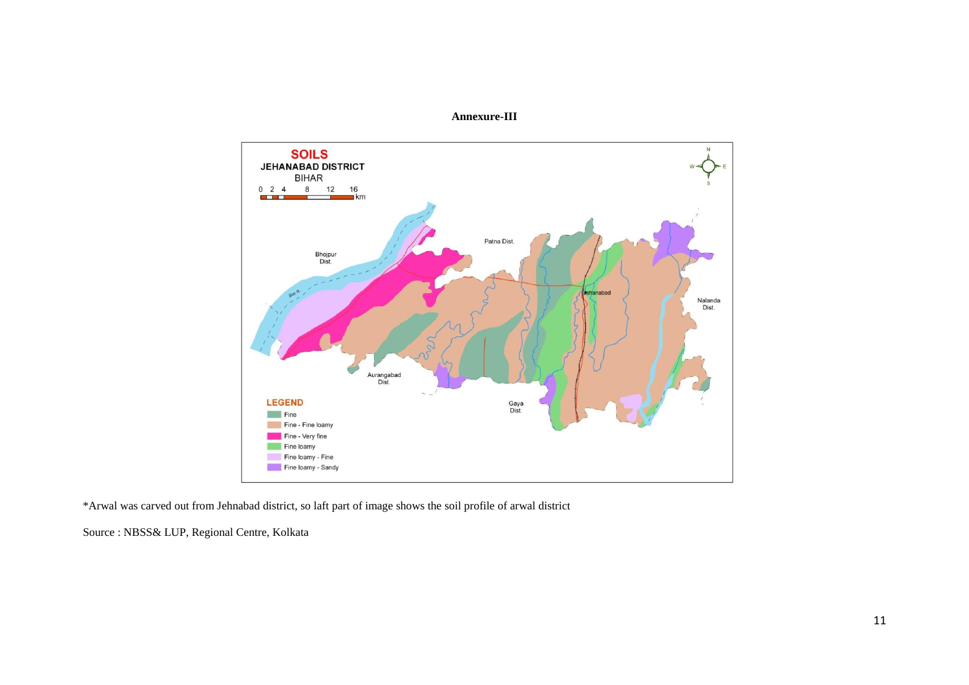



\*Arwal was carved out from Jehnabad district, so laft part of image shows the soil profile of arwal district

Source : NBSS& LUP, Regional Centre, Kolkata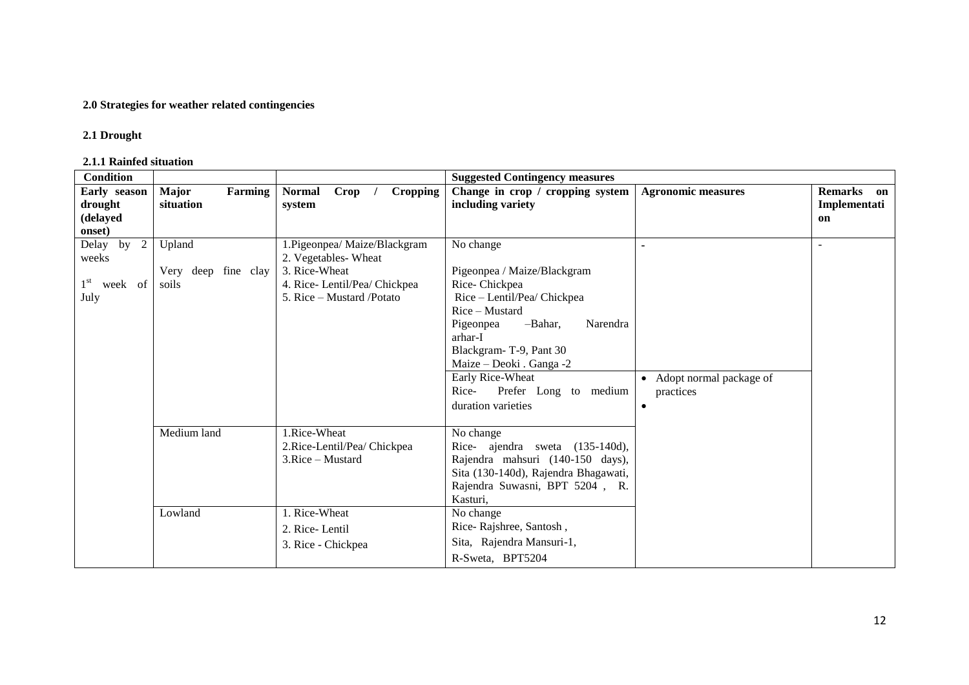## **2.0 Strategies for weather related contingencies**

#### **2.1 Drought**

#### **2.1.1 Rainfed situation**

| <b>Condition</b>                                          |                                        |                                                                                                                                    | <b>Suggested Contingency measures</b>                                                                                                                                                                                                                                                       |                                                     |                                  |
|-----------------------------------------------------------|----------------------------------------|------------------------------------------------------------------------------------------------------------------------------------|---------------------------------------------------------------------------------------------------------------------------------------------------------------------------------------------------------------------------------------------------------------------------------------------|-----------------------------------------------------|----------------------------------|
| Early season<br>drought<br>(delayed<br>onset)             | <b>Major</b><br>Farming<br>situation   | Crop<br>Cropping<br><b>Normal</b><br>system                                                                                        | Change in crop / cropping system<br>including variety                                                                                                                                                                                                                                       | <b>Agronomic measures</b>                           | Remarks on<br>Implementati<br>on |
| 2<br>Delay by<br>weeks<br>$1^{\rm st}$<br>week of<br>July | Upland<br>Very deep fine clay<br>soils | 1. Pigeonpea/ Maize/Blackgram<br>2. Vegetables-Wheat<br>3. Rice-Wheat<br>4. Rice-Lentil/Pea/ Chickpea<br>5. Rice – Mustard /Potato | No change<br>Pigeonpea / Maize/Blackgram<br>Rice-Chickpea<br>Rice - Lentil/Pea/ Chickpea<br>Rice – Mustard<br>-Bahar,<br>Narendra<br>Pigeonpea<br>arhar-I<br>Blackgram-T-9, Pant 30<br>Maize - Deoki . Ganga -2<br>Early Rice-Wheat<br>Prefer Long to medium<br>Rice-<br>duration varieties | • Adopt normal package of<br>practices<br>$\bullet$ |                                  |
|                                                           | Medium land<br>Lowland                 | 1.Rice-Wheat<br>2. Rice-Lentil/Pea/ Chickpea<br>3.Rice – Mustard<br>1. Rice-Wheat<br>2. Rice-Lentil<br>3. Rice - Chickpea          | No change<br>Rice- ajendra sweta (135-140d),<br>Rajendra mahsuri (140-150 days),<br>Sita (130-140d), Rajendra Bhagawati,<br>Rajendra Suwasni, BPT 5204, R.<br>Kasturi,<br>No change<br>Rice-Rajshree, Santosh,<br>Sita, Rajendra Mansuri-1,<br>R-Sweta, BPT5204                             |                                                     |                                  |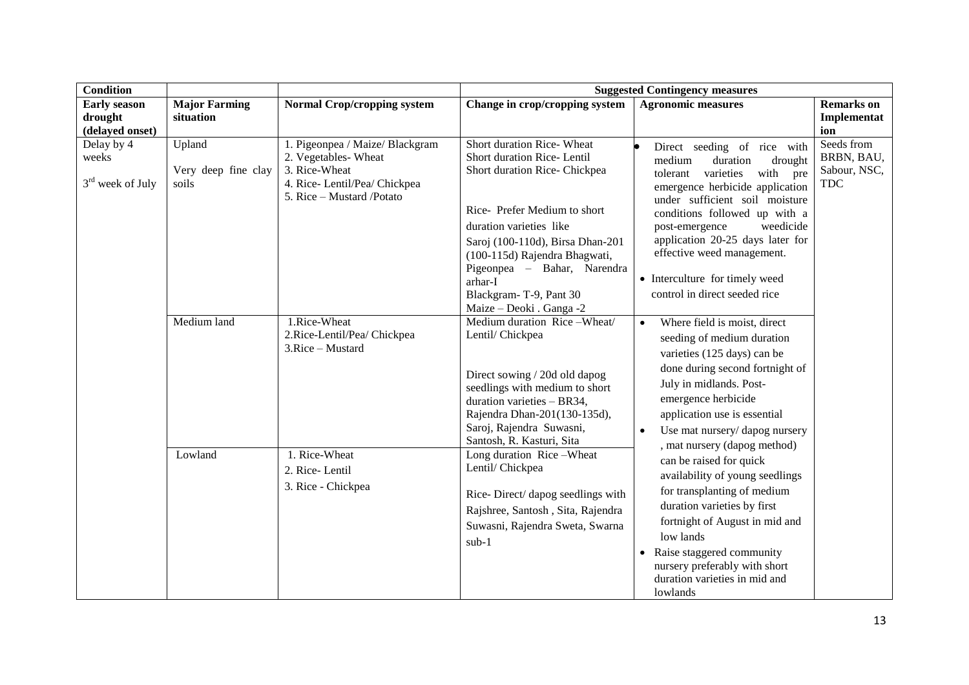| <b>Condition</b>                                  |                                        |                                                                                                                                      | <b>Suggested Contingency measures</b>                                                                                                                                                                                                                                                                                    |                                                                                                                                                                                                                                                                                                                                                                             |                                                        |  |
|---------------------------------------------------|----------------------------------------|--------------------------------------------------------------------------------------------------------------------------------------|--------------------------------------------------------------------------------------------------------------------------------------------------------------------------------------------------------------------------------------------------------------------------------------------------------------------------|-----------------------------------------------------------------------------------------------------------------------------------------------------------------------------------------------------------------------------------------------------------------------------------------------------------------------------------------------------------------------------|--------------------------------------------------------|--|
| <b>Early season</b><br>drought<br>(delayed onset) | <b>Major Farming</b><br>situation      | <b>Normal Crop/cropping system</b>                                                                                                   | Change in crop/cropping system                                                                                                                                                                                                                                                                                           | <b>Agronomic measures</b>                                                                                                                                                                                                                                                                                                                                                   | <b>Remarks</b> on<br>Implementat<br>ion                |  |
| Delay by 4<br>weeks<br>$3rd$ week of July         | Upland<br>Very deep fine clay<br>soils | 1. Pigeonpea / Maize/ Blackgram<br>2. Vegetables-Wheat<br>3. Rice-Wheat<br>4. Rice-Lentil/Pea/ Chickpea<br>5. Rice - Mustard /Potato | Short duration Rice- Wheat<br>Short duration Rice-Lentil<br>Short duration Rice- Chickpea<br>Rice-Prefer Medium to short<br>duration varieties like<br>Saroj (100-110d), Birsa Dhan-201<br>(100-115d) Rajendra Bhagwati,<br>Pigeonpea - Bahar, Narendra<br>arhar-I<br>Blackgram-T-9, Pant 30<br>Maize - Deoki . Ganga -2 | Direct seeding of rice with<br>medium<br>duration<br>drought<br>varieties<br>with pre<br>tolerant<br>emergence herbicide application<br>under sufficient soil moisture<br>conditions followed up with a<br>post-emergence<br>weedicide<br>application 20-25 days later for<br>effective weed management.<br>• Interculture for timely weed<br>control in direct seeded rice | Seeds from<br>BRBN, BAU,<br>Sabour, NSC,<br><b>TDC</b> |  |
|                                                   | Medium land                            | 1.Rice-Wheat<br>2.Rice-Lentil/Pea/ Chickpea<br>3.Rice - Mustard                                                                      | Medium duration Rice-Wheat/<br>Lentil/ Chickpea<br>Direct sowing / 20d old dapog<br>seedlings with medium to short<br>duration varieties - BR34,<br>Rajendra Dhan-201(130-135d),<br>Saroj, Rajendra Suwasni,<br>Santosh, R. Kasturi, Sita                                                                                | Where field is moist, direct<br>seeding of medium duration<br>varieties (125 days) can be<br>done during second fortnight of<br>July in midlands. Post-<br>emergence herbicide<br>application use is essential<br>Use mat nursery/dapog nursery<br>$\bullet$<br>, mat nursery (dapog method)                                                                                |                                                        |  |
|                                                   | Lowland                                | 1. Rice-Wheat<br>2. Rice-Lentil<br>3. Rice - Chickpea                                                                                | Long duration Rice-Wheat<br>Lentil/Chickpea<br>Rice-Direct/ dapog seedlings with<br>Rajshree, Santosh, Sita, Rajendra<br>Suwasni, Rajendra Sweta, Swarna<br>$sub-1$                                                                                                                                                      | can be raised for quick<br>availability of young seedlings<br>for transplanting of medium<br>duration varieties by first<br>fortnight of August in mid and<br>low lands<br>• Raise staggered community<br>nursery preferably with short<br>duration varieties in mid and<br>lowlands                                                                                        |                                                        |  |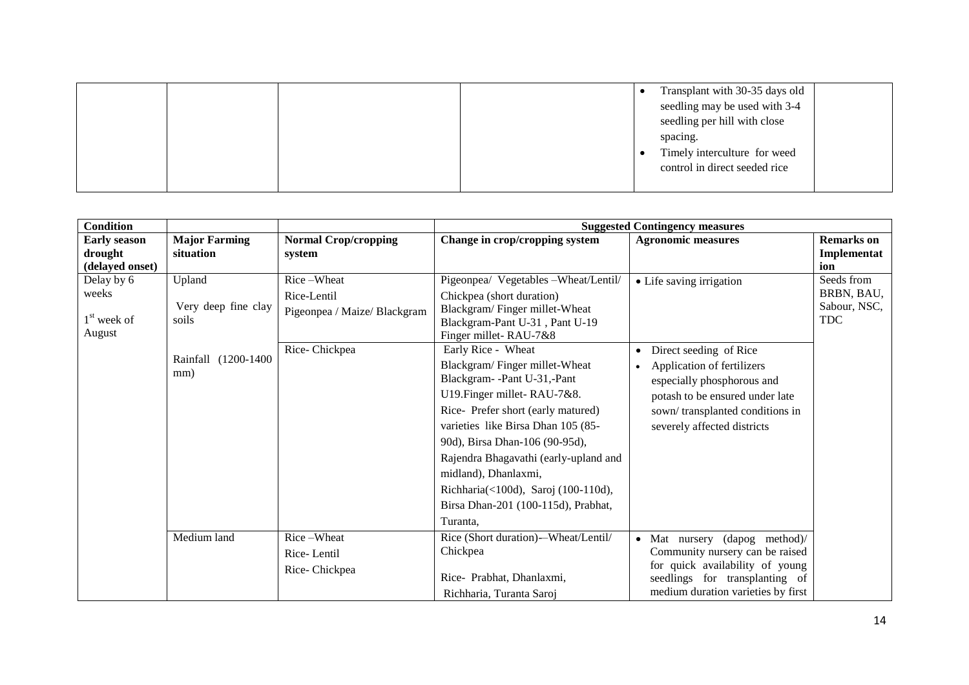|  |  | Transplant with 30-35 days old |
|--|--|--------------------------------|
|  |  | seedling may be used with 3-4  |
|  |  | seedling per hill with close   |
|  |  | spacing.                       |
|  |  | Timely interculture for weed   |
|  |  | control in direct seeded rice  |
|  |  |                                |

| <b>Condition</b>                                  |                                                                      |                                                                            | <b>Suggested Contingency measures</b>                                                                                                                                                                                                                                                                                                                                                                                                                                                                                                                      |                                                                                                                                                                                                                                  |                                                        |  |
|---------------------------------------------------|----------------------------------------------------------------------|----------------------------------------------------------------------------|------------------------------------------------------------------------------------------------------------------------------------------------------------------------------------------------------------------------------------------------------------------------------------------------------------------------------------------------------------------------------------------------------------------------------------------------------------------------------------------------------------------------------------------------------------|----------------------------------------------------------------------------------------------------------------------------------------------------------------------------------------------------------------------------------|--------------------------------------------------------|--|
| <b>Early season</b><br>drought<br>(delayed onset) | <b>Major Farming</b><br>situation                                    | <b>Normal Crop/cropping</b><br>system                                      | Change in crop/cropping system                                                                                                                                                                                                                                                                                                                                                                                                                                                                                                                             | <b>Agronomic measures</b>                                                                                                                                                                                                        | <b>Remarks</b> on<br>Implementat<br>ion                |  |
| Delay by 6<br>weeks<br>$1st$ week of<br>August    | Upland<br>Very deep fine clay<br>soils<br>Rainfall (1200-1400<br>mm) | Rice-Wheat<br>Rice-Lentil<br>Pigeonpea / Maize/ Blackgram<br>Rice-Chickpea | Pigeonpea/ Vegetables - Wheat/Lentil/<br>Chickpea (short duration)<br>Blackgram/Finger millet-Wheat<br>Blackgram-Pant U-31, Pant U-19<br>Finger millet-RAU-7&8<br>Early Rice - Wheat<br>Blackgram/Finger millet-Wheat<br>Blackgram--Pant U-31,-Pant<br>U19. Finger millet-RAU-7&8.<br>Rice-Prefer short (early matured)<br>varieties like Birsa Dhan 105 (85-<br>90d), Birsa Dhan-106 (90-95d),<br>Rajendra Bhagavathi (early-upland and<br>midland), Dhanlaxmi,<br>Richharia(<100d), Saroj (100-110d),<br>Birsa Dhan-201 (100-115d), Prabhat,<br>Turanta, | • Life saving irrigation<br>Direct seeding of Rice<br>$\bullet$<br>Application of fertilizers<br>especially phosphorous and<br>potash to be ensured under late<br>sown/transplanted conditions in<br>severely affected districts | Seeds from<br>BRBN, BAU,<br>Sabour, NSC,<br><b>TDC</b> |  |
|                                                   | Medium land                                                          | Rice-Wheat<br>Rice-Lentil<br>Rice-Chickpea                                 | Rice (Short duration)--Wheat/Lentil/<br>Chickpea<br>Rice- Prabhat, Dhanlaxmi,<br>Richharia, Turanta Saroj                                                                                                                                                                                                                                                                                                                                                                                                                                                  | Mat nursery (dapog method)/<br>$\bullet$<br>Community nursery can be raised<br>for quick availability of young<br>seedlings for transplanting of<br>medium duration varieties by first                                           |                                                        |  |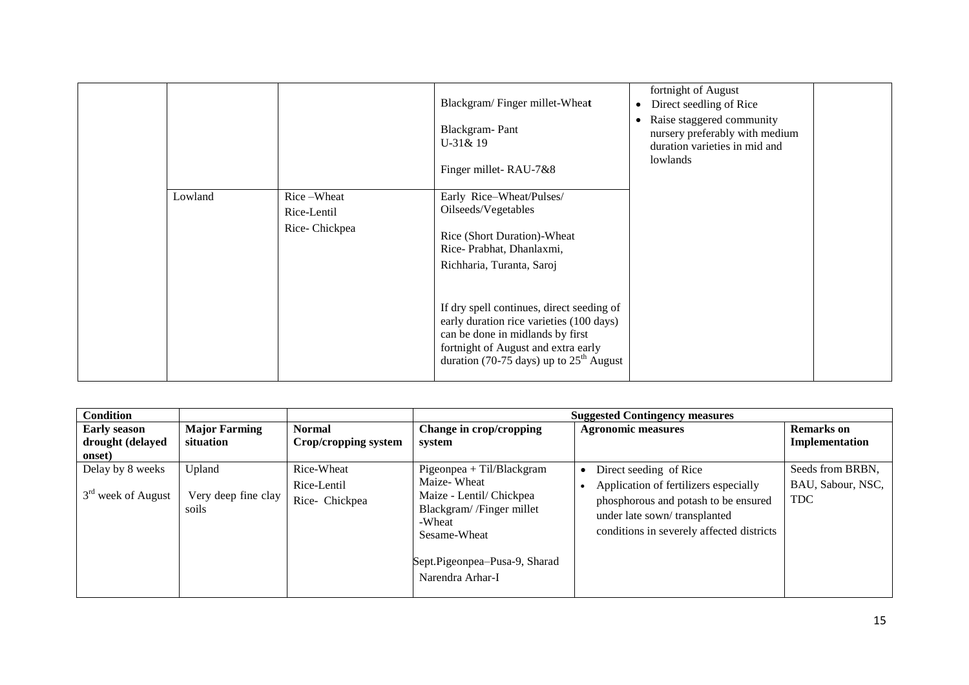|         |                                            | Blackgram/Finger millet-Wheat<br>Blackgram-Pant<br>U-31& 19<br>Finger millet-RAU-7&8                                                                                                                                                                                                                                                                     | fortnight of August<br>Direct seedling of Rice<br>$\bullet$<br>Raise staggered community<br>$\bullet$<br>nursery preferably with medium<br>duration varieties in mid and<br>lowlands |  |
|---------|--------------------------------------------|----------------------------------------------------------------------------------------------------------------------------------------------------------------------------------------------------------------------------------------------------------------------------------------------------------------------------------------------------------|--------------------------------------------------------------------------------------------------------------------------------------------------------------------------------------|--|
| Lowland | Rice-Wheat<br>Rice-Lentil<br>Rice-Chickpea | Early Rice-Wheat/Pulses/<br>Oilseeds/Vegetables<br>Rice (Short Duration)-Wheat<br>Rice-Prabhat, Dhanlaxmi,<br>Richharia, Turanta, Saroj<br>If dry spell continues, direct seeding of<br>early duration rice varieties (100 days)<br>can be done in midlands by first<br>fortnight of August and extra early<br>duration (70-75 days) up to $25th$ August |                                                                                                                                                                                      |  |

| <b>Condition</b>                                                                       |                                             |                                                                                                                                                                                   | <b>Suggested Contingency measures</b>                                                                                                                                                |                                                     |
|----------------------------------------------------------------------------------------|---------------------------------------------|-----------------------------------------------------------------------------------------------------------------------------------------------------------------------------------|--------------------------------------------------------------------------------------------------------------------------------------------------------------------------------------|-----------------------------------------------------|
| <b>Major Farming</b><br><b>Early season</b><br>drought (delayed<br>situation<br>onset) | <b>Normal</b><br>Crop/cropping system       | Change in crop/cropping<br>system                                                                                                                                                 | <b>Agronomic measures</b>                                                                                                                                                            | <b>Remarks</b> on<br>Implementation                 |
| Delay by 8 weeks<br>Upland<br>$3rd$ week of August<br>Very deep fine clay<br>soils     | Rice-Wheat<br>Rice-Lentil<br>Rice- Chickpea | $Pigeonpea + TiI/Blackgram$<br>Maize-Wheat<br>Maize - Lentil/ Chickpea<br>Blackgram//Finger millet<br>-Wheat<br>Sesame-Wheat<br>Sept.Pigeonpea-Pusa-9, Sharad<br>Narendra Arhar-I | Direct seeding of Rice<br>Application of fertilizers especially<br>phosphorous and potash to be ensured<br>under late sown/transplanted<br>conditions in severely affected districts | Seeds from BRBN,<br>BAU, Sabour, NSC,<br><b>TDC</b> |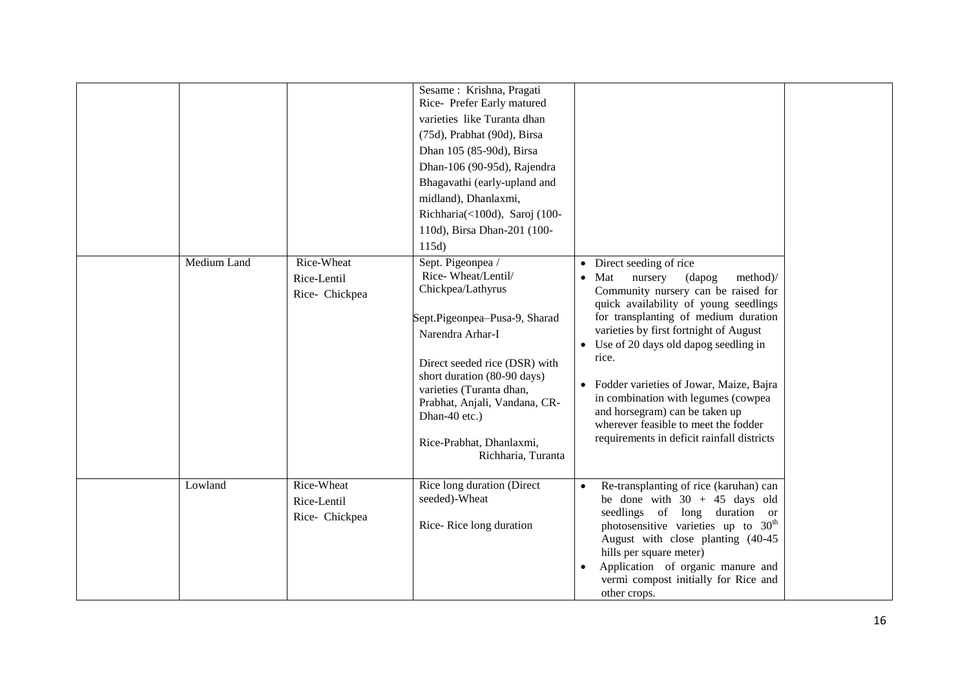| Medium Land | Rice-Wheat<br>Rice-Lentil<br>Rice- Chickpea | Sesame: Krishna, Pragati<br>Rice- Prefer Early matured<br>varieties like Turanta dhan<br>(75d), Prabhat (90d), Birsa<br>Dhan 105 (85-90d), Birsa<br>Dhan-106 (90-95d), Rajendra<br>Bhagavathi (early-upland and<br>midland), Dhanlaxmi,<br>Richharia(<100d), Saroj (100-<br>110d), Birsa Dhan-201 (100-<br>115d)<br>Sept. Pigeonpea /<br>Rice-Wheat/Lentil/<br>Chickpea/Lathyrus<br>Sept.Pigeonpea-Pusa-9, Sharad<br>Narendra Arhar-I<br>Direct seeded rice (DSR) with<br>short duration (80-90 days)<br>varieties (Turanta dhan,<br>Prabhat, Anjali, Vandana, CR-<br>Dhan-40 etc.)<br>Rice-Prabhat, Dhanlaxmi,<br>Richharia, Turanta | • Direct seeding of rice<br>$\bullet$ Mat<br>nursery<br>(dapog)<br>method)/<br>Community nursery can be raised for<br>quick availability of young seedlings<br>for transplanting of medium duration<br>varieties by first fortnight of August<br>Use of 20 days old dapog seedling in<br>rice.<br>Fodder varieties of Jowar, Maize, Bajra<br>in combination with legumes (cowpea<br>and horsegram) can be taken up<br>wherever feasible to meet the fodder<br>requirements in deficit rainfall districts |
|-------------|---------------------------------------------|---------------------------------------------------------------------------------------------------------------------------------------------------------------------------------------------------------------------------------------------------------------------------------------------------------------------------------------------------------------------------------------------------------------------------------------------------------------------------------------------------------------------------------------------------------------------------------------------------------------------------------------|----------------------------------------------------------------------------------------------------------------------------------------------------------------------------------------------------------------------------------------------------------------------------------------------------------------------------------------------------------------------------------------------------------------------------------------------------------------------------------------------------------|
| Lowland     | Rice-Wheat<br>Rice-Lentil<br>Rice- Chickpea | Rice long duration (Direct<br>seeded)-Wheat<br>Rice-Rice long duration                                                                                                                                                                                                                                                                                                                                                                                                                                                                                                                                                                | Re-transplanting of rice (karuhan) can<br>be done with $30 + 45$ days old<br>seedlings of long duration or<br>photosensitive varieties up to 30 <sup>th</sup><br>August with close planting (40-45<br>hills per square meter)<br>Application of organic manure and<br>vermi compost initially for Rice and<br>other crops.                                                                                                                                                                               |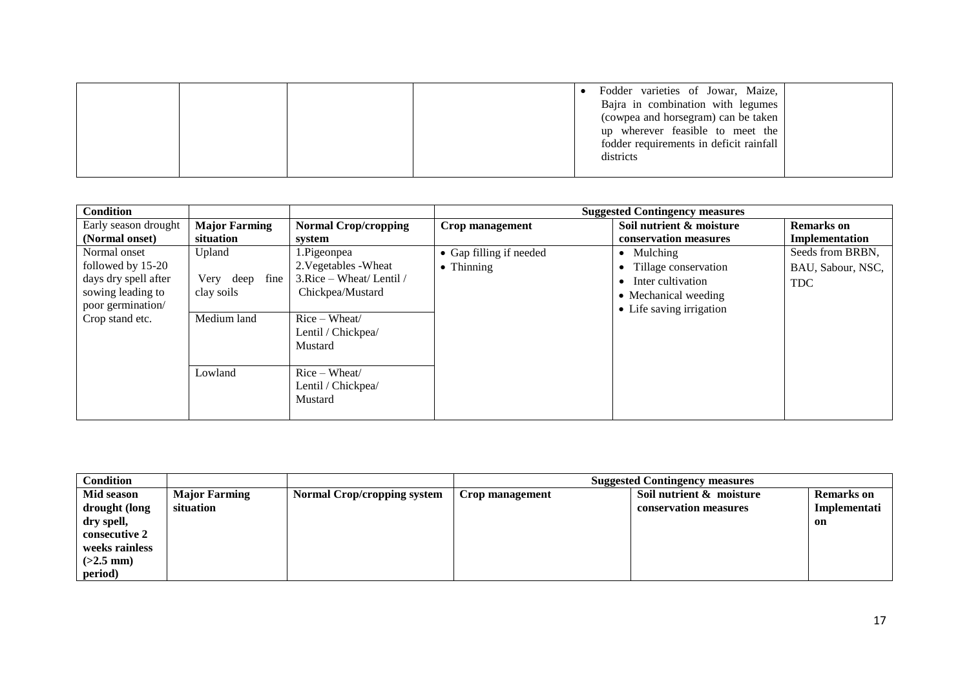|  |  | Fodder varieties of Jowar, Maize,<br>Bajra in combination with legumes<br>(cowpea and horsegram) can be taken<br>up wherever feasible to meet the<br>fodder requirements in deficit rainfall<br>districts |  |
|--|--|-----------------------------------------------------------------------------------------------------------------------------------------------------------------------------------------------------------|--|
|  |  |                                                                                                                                                                                                           |  |

| <b>Condition</b>     |                      |                             |                         | <b>Suggested Contingency measures</b> |                   |
|----------------------|----------------------|-----------------------------|-------------------------|---------------------------------------|-------------------|
| Early season drought | <b>Major Farming</b> | <b>Normal Crop/cropping</b> | Crop management         | Soil nutrient & moisture              | <b>Remarks</b> on |
| (Normal onset)       | situation            | system                      |                         | conservation measures                 | Implementation    |
| Normal onset         | Upland               | 1.Pigeonpea                 | • Gap filling if needed | $\bullet$ Mulching                    | Seeds from BRBN,  |
| followed by 15-20    |                      | 2. Vegetables - Wheat       | $\bullet$ Thinning      | • Tillage conservation                | BAU, Sabour, NSC, |
| days dry spell after | Very deep fine       | 3. Rice - Wheat/ Lentil /   |                         | • Inter cultivation                   | <b>TDC</b>        |
| sowing leading to    | clay soils           | Chickpea/Mustard            |                         | • Mechanical weeding                  |                   |
| poor germination/    |                      |                             |                         | • Life saving irrigation              |                   |
| Crop stand etc.      | Medium land          | $Rice-Wheat/$               |                         |                                       |                   |
|                      |                      | Lentil / Chickpea/          |                         |                                       |                   |
|                      |                      | Mustard                     |                         |                                       |                   |
|                      |                      |                             |                         |                                       |                   |
|                      | Lowland              | $Rice-Wheat/$               |                         |                                       |                   |
|                      |                      | Lentil / Chickpea/          |                         |                                       |                   |
|                      |                      | Mustard                     |                         |                                       |                   |
|                      |                      |                             |                         |                                       |                   |

| <b>Condition</b> |                      |                                    | <b>Suggested Contingency measures</b> |                          |              |  |
|------------------|----------------------|------------------------------------|---------------------------------------|--------------------------|--------------|--|
| Mid season       | <b>Major Farming</b> | <b>Normal Crop/cropping system</b> | Crop management                       | Soil nutrient & moisture | Remarks on   |  |
| drought (long    | situation            |                                    |                                       | conservation measures    | Implementati |  |
| dry spell,       |                      |                                    |                                       |                          | on           |  |
| consecutive 2    |                      |                                    |                                       |                          |              |  |
| weeks rainless   |                      |                                    |                                       |                          |              |  |
| $(>2.5$ mm)      |                      |                                    |                                       |                          |              |  |
| period)          |                      |                                    |                                       |                          |              |  |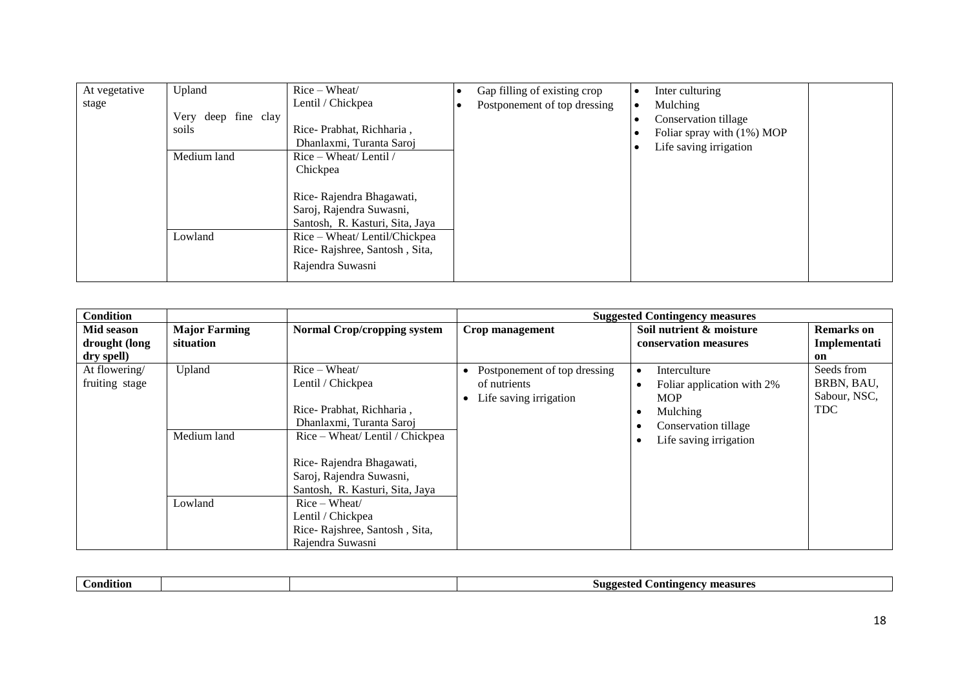| Upland<br>At vegetative | Rice - Wheat/                   | Gap filling of existing crop | Inter culturing            |  |
|-------------------------|---------------------------------|------------------------------|----------------------------|--|
| stage                   | Lentil / Chickpea               | Postponement of top dressing | Mulching                   |  |
| Very deep fine clay     |                                 |                              | Conservation tillage       |  |
| soils                   | Rice-Prabhat, Richharia,        |                              | Foliar spray with (1%) MOP |  |
|                         | Dhanlaxmi, Turanta Saroj        |                              | Life saving irrigation     |  |
| Medium land             | Rice – Wheat/ Lentil /          |                              |                            |  |
|                         | Chickpea                        |                              |                            |  |
|                         |                                 |                              |                            |  |
|                         | Rice-Rajendra Bhagawati,        |                              |                            |  |
|                         | Saroj, Rajendra Suwasni,        |                              |                            |  |
|                         | Santosh, R. Kasturi, Sita, Jaya |                              |                            |  |
| Lowland                 | Rice – Wheat/ Lentil/Chickpea   |                              |                            |  |
|                         | Rice-Rajshree, Santosh, Sita,   |                              |                            |  |
|                         | Rajendra Suwasni                |                              |                            |  |

| <b>Condition</b> |                      |                                    |                              | <b>Suggested Contingency measures</b>   |                   |
|------------------|----------------------|------------------------------------|------------------------------|-----------------------------------------|-------------------|
| Mid season       | <b>Major Farming</b> | <b>Normal Crop/cropping system</b> | Crop management              | Soil nutrient & moisture                | <b>Remarks</b> on |
| drought (long    | situation            |                                    |                              | conservation measures                   | Implementati      |
| dry spell)       |                      |                                    |                              |                                         | on                |
| At flowering/    | Upland               | $Rice-Wheat/$                      | Postponement of top dressing | Interculture<br>$\bullet$               | Seeds from        |
| fruiting stage   |                      | Lentil / Chickpea                  | of nutrients                 | Foliar application with 2%<br>$\bullet$ | BRBN, BAU,        |
|                  |                      |                                    | Life saving irrigation       | <b>MOP</b>                              | Sabour, NSC,      |
|                  |                      | Rice-Prabhat, Richharia,           |                              | Mulching<br>٠                           | <b>TDC</b>        |
|                  |                      | Dhanlaxmi, Turanta Saroj           |                              | Conservation tillage                    |                   |
|                  | Medium land          | Rice – Wheat/ Lentil / Chickpea    |                              | Life saving irrigation                  |                   |
|                  |                      |                                    |                              |                                         |                   |
|                  |                      | Rice-Rajendra Bhagawati,           |                              |                                         |                   |
|                  |                      | Saroj, Rajendra Suwasni,           |                              |                                         |                   |
|                  |                      | Santosh, R. Kasturi, Sita, Jaya    |                              |                                         |                   |
|                  | Lowland              | $Rice-Wheat/$                      |                              |                                         |                   |
|                  |                      | Lentil / Chickpea                  |                              |                                         |                   |
|                  |                      | Rice-Rajshree, Santosh, Sita,      |                              |                                         |                   |
|                  |                      | Rajendra Suwasni                   |                              |                                         |                   |

| $\mathbf{u}$<br>ondition | <sup>,</sup> measures<br>Contingency<br>-Suggested |
|--------------------------|----------------------------------------------------|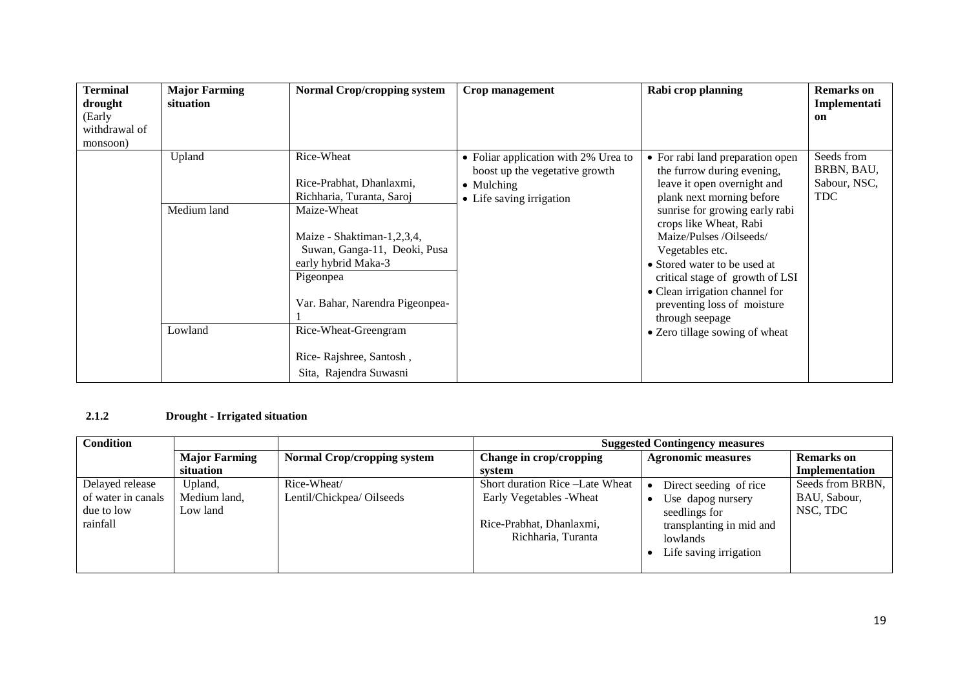| <b>Terminal</b><br>drought | <b>Major Farming</b><br>situation | <b>Normal Crop/cropping system</b> | Crop management                      | Rabi crop planning               | <b>Remarks</b> on<br>Implementati |
|----------------------------|-----------------------------------|------------------------------------|--------------------------------------|----------------------------------|-----------------------------------|
| (Early                     |                                   |                                    |                                      |                                  | on                                |
| withdrawal of              |                                   |                                    |                                      |                                  |                                   |
| monsoon)                   |                                   |                                    |                                      |                                  |                                   |
|                            | Upland                            | Rice-Wheat                         | • Foliar application with 2% Urea to | • For rabi land preparation open | Seeds from                        |
|                            |                                   |                                    | boost up the vegetative growth       | the furrow during evening,       | BRBN, BAU,                        |
|                            |                                   | Rice-Prabhat, Dhanlaxmi,           | • Mulching                           | leave it open overnight and      | Sabour, NSC,                      |
|                            |                                   | Richharia, Turanta, Saroj          | • Life saving irrigation             | plank next morning before        | <b>TDC</b>                        |
|                            | Medium land                       | Maize-Wheat                        |                                      | sunrise for growing early rabi   |                                   |
|                            |                                   |                                    |                                      | crops like Wheat, Rabi           |                                   |
|                            |                                   | Maize - Shaktiman-1,2,3,4,         |                                      | Maize/Pulses /Oilseeds/          |                                   |
|                            |                                   | Suwan, Ganga-11, Deoki, Pusa       |                                      | Vegetables etc.                  |                                   |
|                            |                                   | early hybrid Maka-3                |                                      | • Stored water to be used at     |                                   |
|                            |                                   | Pigeonpea                          |                                      | critical stage of growth of LSI  |                                   |
|                            |                                   |                                    |                                      | • Clean irrigation channel for   |                                   |
|                            |                                   | Var. Bahar, Narendra Pigeonpea-    |                                      | preventing loss of moisture      |                                   |
|                            |                                   |                                    |                                      | through seepage                  |                                   |
|                            | Lowland                           | Rice-Wheat-Greengram               |                                      | • Zero tillage sowing of wheat   |                                   |
|                            |                                   |                                    |                                      |                                  |                                   |
|                            |                                   | Rice-Rajshree, Santosh,            |                                      |                                  |                                   |
|                            |                                   | Sita, Rajendra Suwasni             |                                      |                                  |                                   |

#### **2.1.2 Drought - Irrigated situation**

| <b>Condition</b>   |                      |                                    | <b>Suggested Contingency measures</b> |                           |                   |  |
|--------------------|----------------------|------------------------------------|---------------------------------------|---------------------------|-------------------|--|
|                    | <b>Major Farming</b> | <b>Normal Crop/cropping system</b> | Change in crop/cropping               | <b>Agronomic measures</b> | <b>Remarks</b> on |  |
|                    | situation            |                                    | svstem                                |                           | Implementation    |  |
| Delayed release    | Upland,              | Rice-Wheat/                        | Short duration Rice - Late Wheat      | Direct seeding of rice    | Seeds from BRBN,  |  |
| of water in canals | Medium land,         | Lentil/Chickpea/ Oilseeds          | Early Vegetables - Wheat              | Use dapog nursery         | BAU, Sabour,      |  |
| due to low         | Low land             |                                    |                                       | seedlings for             | NSC, TDC          |  |
| rainfall           |                      |                                    | Rice-Prabhat, Dhanlaxmi,              | transplanting in mid and  |                   |  |
|                    |                      |                                    | Richharia, Turanta                    | lowlands                  |                   |  |
|                    |                      |                                    |                                       | Life saving irrigation    |                   |  |
|                    |                      |                                    |                                       |                           |                   |  |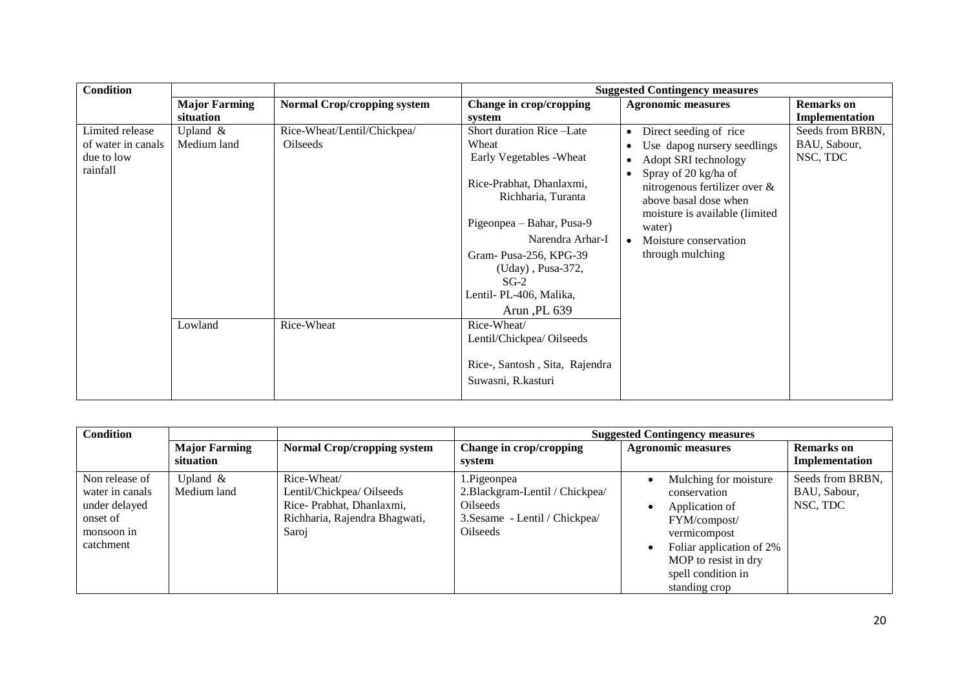| <b>Condition</b>                      |                           |                                                |                                                      | <b>Suggested Contingency measures</b>                                                                            |                                  |
|---------------------------------------|---------------------------|------------------------------------------------|------------------------------------------------------|------------------------------------------------------------------------------------------------------------------|----------------------------------|
|                                       | <b>Major Farming</b>      | <b>Normal Crop/cropping system</b>             | Change in crop/cropping                              | <b>Agronomic measures</b>                                                                                        | <b>Remarks</b> on                |
|                                       | situation                 |                                                | system                                               |                                                                                                                  | Implementation                   |
| Limited release<br>of water in canals | Upland $&$<br>Medium land | Rice-Wheat/Lentil/Chickpea/<br><b>Oilseeds</b> | Short duration Rice-Late<br>Wheat                    | Direct seeding of rice<br>$\bullet$                                                                              | Seeds from BRBN,<br>BAU, Sabour, |
| due to low                            |                           |                                                | Early Vegetables - Wheat                             | Use dapog nursery seedlings<br>٠<br>Adopt SRI technology<br>$\bullet$                                            | NSC, TDC                         |
| rainfall                              |                           |                                                | Rice-Prabhat, Dhanlaxmi,<br>Richharia, Turanta       | Spray of 20 kg/ha of<br>nitrogenous fertilizer over &<br>above basal dose when<br>moisture is available (limited |                                  |
|                                       |                           |                                                | Pigeonpea – Bahar, Pusa-9                            | water)                                                                                                           |                                  |
|                                       |                           |                                                | Narendra Arhar-I                                     | Moisture conservation                                                                                            |                                  |
|                                       |                           |                                                | Gram-Pusa-256, KPG-39                                | through mulching                                                                                                 |                                  |
|                                       |                           |                                                | (Uday), Pusa-372,                                    |                                                                                                                  |                                  |
|                                       |                           |                                                | $SG-2$                                               |                                                                                                                  |                                  |
|                                       |                           |                                                | Lentil-PL-406, Malika,                               |                                                                                                                  |                                  |
|                                       |                           |                                                | Arun ,PL 639                                         |                                                                                                                  |                                  |
|                                       | Lowland                   | Rice-Wheat                                     | Rice-Wheat/                                          |                                                                                                                  |                                  |
|                                       |                           |                                                | Lentil/Chickpea/ Oilseeds                            |                                                                                                                  |                                  |
|                                       |                           |                                                | Rice-, Santosh, Sita, Rajendra<br>Suwasni, R.kasturi |                                                                                                                  |                                  |

| <b>Condition</b>                                                                          |                                   |                                                                                                                |                                                                                                                 | <b>Suggested Contingency measures</b>                                                                                                                                              |                                              |
|-------------------------------------------------------------------------------------------|-----------------------------------|----------------------------------------------------------------------------------------------------------------|-----------------------------------------------------------------------------------------------------------------|------------------------------------------------------------------------------------------------------------------------------------------------------------------------------------|----------------------------------------------|
|                                                                                           | <b>Major Farming</b><br>situation | <b>Normal Crop/cropping system</b>                                                                             | Change in crop/cropping<br>system                                                                               | <b>Agronomic measures</b>                                                                                                                                                          | <b>Remarks</b> on<br>Implementation          |
| Non release of<br>water in canals<br>under delayed<br>onset of<br>monsoon in<br>catchment | Upland $\&$<br>Medium land        | Rice-Wheat/<br>Lentil/Chickpea/ Oilseeds<br>Rice-Prabhat, Dhanlaxmi,<br>Richharia, Rajendra Bhagwati,<br>Saroj | 1.Pigeonpea<br>2. Blackgram-Lentil / Chickpea/<br>Oilseeds<br>3. Sesame - Lentil / Chickpea/<br><b>Oilseeds</b> | Mulching for moisture<br>conservation<br>Application of<br>FYM/compost/<br>vermicompost<br>Foliar application of 2%<br>MOP to resist in dry<br>spell condition in<br>standing crop | Seeds from BRBN,<br>BAU, Sabour,<br>NSC, TDC |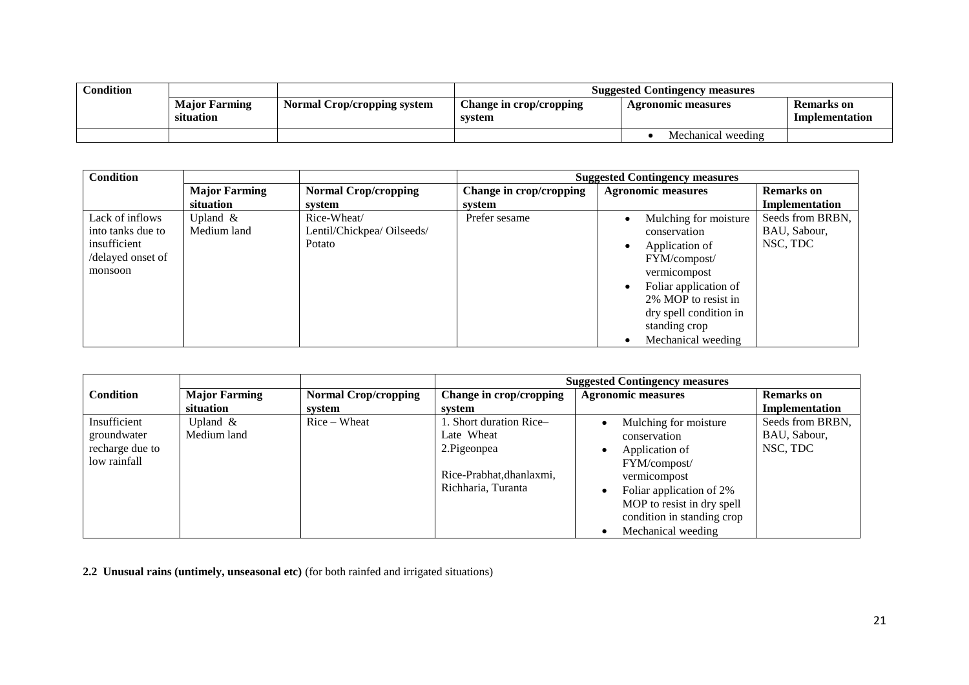| Condition |                                   |                                    | <b>Suggested Contingency measures</b>    |                    |                              |  |
|-----------|-----------------------------------|------------------------------------|------------------------------------------|--------------------|------------------------------|--|
|           | <b>Major Farming</b><br>situation | <b>Normal Crop/cropping system</b> | <b>Change in crop/cropping</b><br>system | Agronomic measures | Remarks on<br>Implementation |  |
|           |                                   |                                    |                                          | Mechanical weeding |                              |  |

| <b>Condition</b>  |                      |                             | <b>Suggested Contingency measures</b> |                           |                   |  |
|-------------------|----------------------|-----------------------------|---------------------------------------|---------------------------|-------------------|--|
|                   | <b>Major Farming</b> | <b>Normal Crop/cropping</b> | Change in crop/cropping               | <b>Agronomic measures</b> | <b>Remarks</b> on |  |
|                   | situation            | system                      | system                                |                           | Implementation    |  |
| Lack of inflows   | Upland $&$           | Rice-Wheat/                 | Prefer sesame                         | Mulching for moisture     | Seeds from BRBN,  |  |
| into tanks due to | Medium land          | Lentil/Chickpea/ Oilseeds/  |                                       | conservation              | BAU, Sabour,      |  |
| insufficient      |                      | Potato                      |                                       | Application of            | NSC, TDC          |  |
| /delayed onset of |                      |                             |                                       | FYM/compost/              |                   |  |
| monsoon           |                      |                             |                                       | vermicompost              |                   |  |
|                   |                      |                             |                                       | Foliar application of     |                   |  |
|                   |                      |                             |                                       | 2% MOP to resist in       |                   |  |
|                   |                      |                             |                                       | dry spell condition in    |                   |  |
|                   |                      |                             |                                       | standing crop             |                   |  |
|                   |                      |                             |                                       | Mechanical weeding        |                   |  |

|                  |                      |                             | <b>Suggested Contingency measures</b> |                            |                   |  |
|------------------|----------------------|-----------------------------|---------------------------------------|----------------------------|-------------------|--|
| <b>Condition</b> | <b>Major Farming</b> | <b>Normal Crop/cropping</b> | Change in crop/cropping               | <b>Agronomic measures</b>  | <b>Remarks</b> on |  |
|                  | situation            | system                      | svstem                                |                            | Implementation    |  |
| Insufficient     | Upland $&$           | $Rice-Wheat$                | . Short duration Rice-                | Mulching for moisture      | Seeds from BRBN,  |  |
| groundwater      | Medium land          |                             | Late Wheat                            | conservation               | BAU, Sabour,      |  |
| recharge due to  |                      |                             | 2. Pigeonpea                          | Application of             | NSC, TDC          |  |
| low rainfall     |                      |                             |                                       | FYM/compost/               |                   |  |
|                  |                      |                             | Rice-Prabhat, dhanlaxmi,              | vermicompost               |                   |  |
|                  |                      |                             | Richharia, Turanta                    | Foliar application of 2%   |                   |  |
|                  |                      |                             |                                       | MOP to resist in dry spell |                   |  |
|                  |                      |                             |                                       | condition in standing crop |                   |  |
|                  |                      |                             |                                       | Mechanical weeding         |                   |  |

**2.2 Unusual rains (untimely, unseasonal etc)** (for both rainfed and irrigated situations)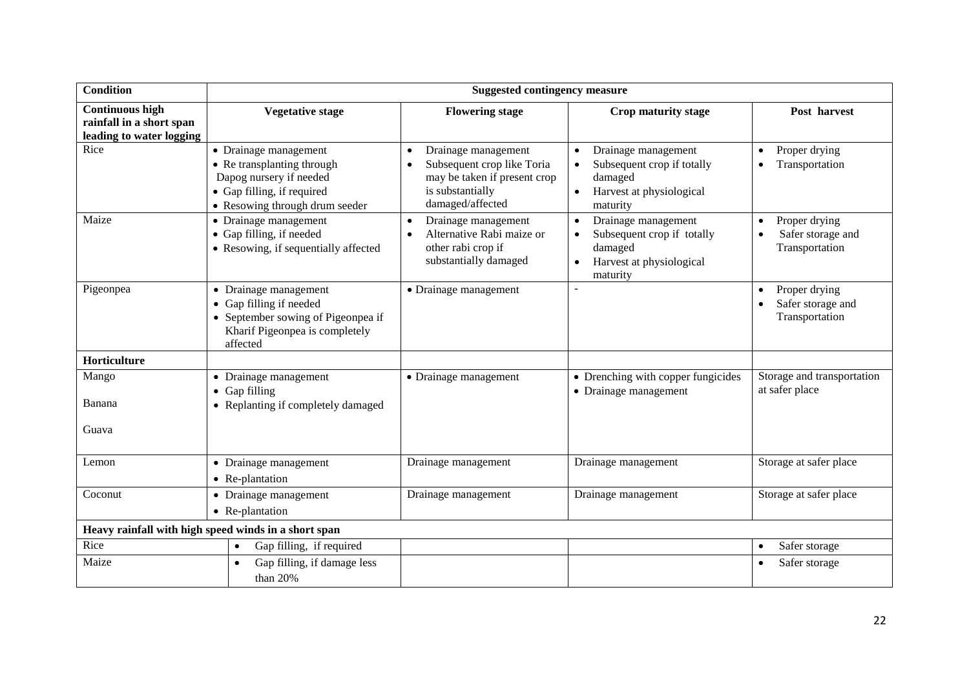| <b>Condition</b>                                                               |                                                                                                                                                | <b>Suggested contingency measure</b>                                                                                                                |                                                                                                      |                                                                   |
|--------------------------------------------------------------------------------|------------------------------------------------------------------------------------------------------------------------------------------------|-----------------------------------------------------------------------------------------------------------------------------------------------------|------------------------------------------------------------------------------------------------------|-------------------------------------------------------------------|
| <b>Continuous high</b><br>rainfall in a short span<br>leading to water logging | <b>Vegetative stage</b>                                                                                                                        | <b>Flowering stage</b>                                                                                                                              | Crop maturity stage                                                                                  | Post harvest                                                      |
| Rice                                                                           | • Drainage management<br>• Re transplanting through<br>Dapog nursery if needed<br>• Gap filling, if required<br>• Resowing through drum seeder | Drainage management<br>$\bullet$<br>Subsequent crop like Toria<br>$\bullet$<br>may be taken if present crop<br>is substantially<br>damaged/affected | Drainage management<br>Subsequent crop if totally<br>damaged<br>Harvest at physiological<br>maturity | Proper drying<br>$\bullet$<br>Transportation                      |
| Maize                                                                          | • Drainage management<br>• Gap filling, if needed<br>• Resowing, if sequentially affected                                                      | Drainage management<br>$\bullet$<br>Alternative Rabi maize or<br>other rabi crop if<br>substantially damaged                                        | Drainage management<br>Subsequent crop if totally<br>damaged<br>Harvest at physiological<br>maturity | Proper drying<br>$\bullet$<br>Safer storage and<br>Transportation |
| Pigeonpea                                                                      | • Drainage management<br>• Gap filling if needed<br>• September sowing of Pigeonpea if<br>Kharif Pigeonpea is completely<br>affected           | • Drainage management                                                                                                                               |                                                                                                      | Proper drying<br>Safer storage and<br>Transportation              |
| Horticulture                                                                   |                                                                                                                                                |                                                                                                                                                     |                                                                                                      |                                                                   |
| Mango<br>Banana                                                                | • Drainage management<br>• Gap filling                                                                                                         | $\bullet$ Drainage management                                                                                                                       | • Drenching with copper fungicides<br>• Drainage management                                          | Storage and transportation<br>at safer place                      |
| Guava                                                                          | • Replanting if completely damaged                                                                                                             |                                                                                                                                                     |                                                                                                      |                                                                   |
| Lemon                                                                          | • Drainage management<br>• Re-plantation                                                                                                       | Drainage management                                                                                                                                 | Drainage management                                                                                  | Storage at safer place                                            |
| Coconut                                                                        | • Drainage management<br>• Re-plantation                                                                                                       | Drainage management                                                                                                                                 | Drainage management                                                                                  | Storage at safer place                                            |
|                                                                                | Heavy rainfall with high speed winds in a short span                                                                                           |                                                                                                                                                     |                                                                                                      |                                                                   |
| Rice                                                                           | Gap filling, if required<br>$\bullet$                                                                                                          |                                                                                                                                                     |                                                                                                      | Safer storage<br>$\bullet$                                        |
| Maize                                                                          | Gap filling, if damage less<br>than 20%                                                                                                        |                                                                                                                                                     |                                                                                                      | Safer storage                                                     |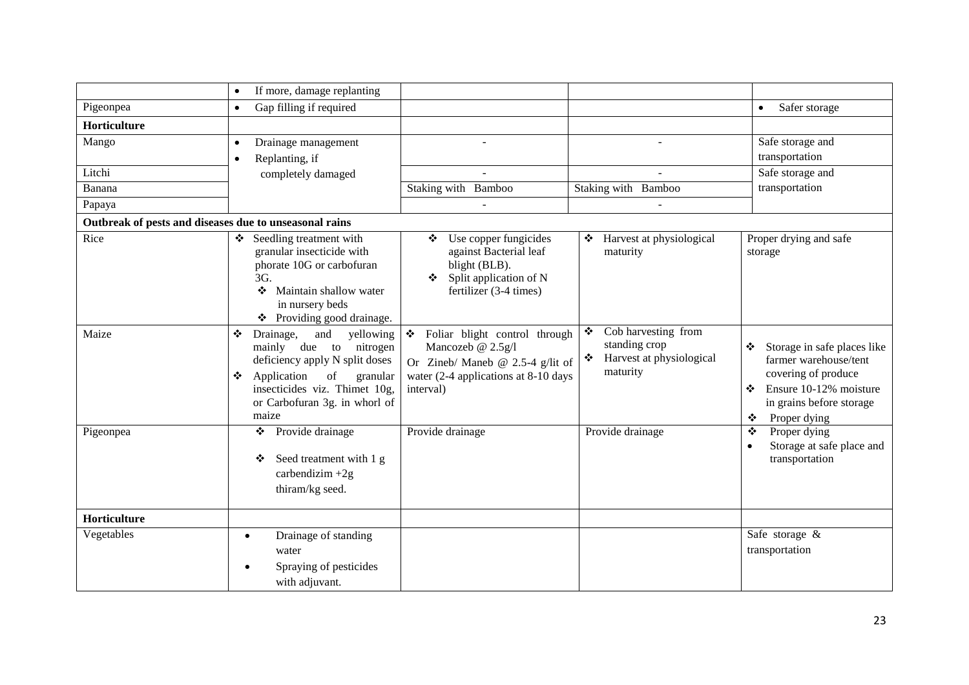|                                                        | If more, damage replanting<br>$\bullet$                                                                                                                                                                                          |                                                                                                                                                  |                                                                                     |                                                                                                                                                                  |
|--------------------------------------------------------|----------------------------------------------------------------------------------------------------------------------------------------------------------------------------------------------------------------------------------|--------------------------------------------------------------------------------------------------------------------------------------------------|-------------------------------------------------------------------------------------|------------------------------------------------------------------------------------------------------------------------------------------------------------------|
| Pigeonpea                                              | Gap filling if required<br>$\bullet$                                                                                                                                                                                             |                                                                                                                                                  |                                                                                     | Safer storage<br>$\bullet$                                                                                                                                       |
| Horticulture                                           |                                                                                                                                                                                                                                  |                                                                                                                                                  |                                                                                     |                                                                                                                                                                  |
| Mango                                                  | Drainage management<br>Replanting, if<br>$\bullet$                                                                                                                                                                               |                                                                                                                                                  |                                                                                     | Safe storage and<br>transportation                                                                                                                               |
| Litchi                                                 | completely damaged                                                                                                                                                                                                               |                                                                                                                                                  |                                                                                     | Safe storage and                                                                                                                                                 |
| Banana                                                 |                                                                                                                                                                                                                                  | Staking with Bamboo                                                                                                                              | Staking with Bamboo                                                                 | transportation                                                                                                                                                   |
| Papaya                                                 |                                                                                                                                                                                                                                  |                                                                                                                                                  |                                                                                     |                                                                                                                                                                  |
| Outbreak of pests and diseases due to unseasonal rains |                                                                                                                                                                                                                                  |                                                                                                                                                  |                                                                                     |                                                                                                                                                                  |
| Rice                                                   | Seedling treatment with<br>❖<br>granular insecticide with<br>phorate 10G or carbofuran<br>3G.<br>Maintain shallow water<br>❖<br>in nursery beds<br>❖ Providing good drainage.                                                    | Use copper fungicides<br>against Bacterial leaf<br>blight (BLB).<br>Split application of N<br>❖<br>fertilizer (3-4 times)                        | ❖ Harvest at physiological<br>maturity                                              | Proper drying and safe<br>storage                                                                                                                                |
| Maize                                                  | yellowing<br>❖<br>Drainage,<br>and<br>mainly due to<br>nitrogen<br>deficiency apply N split doses<br>$_{\mathrm{of}}$<br>Application<br>granular<br>❖<br>insecticides viz. Thimet 10g,<br>or Carbofuran 3g. in whorl of<br>maize | Foliar blight control through<br>❖<br>Mancozeb @ 2.5g/l<br>Or Zineb/ Maneb @ 2.5-4 g/lit of<br>water (2-4 applications at 8-10 days<br>interval) | Cob harvesting from<br>❖<br>standing crop<br>❖ Harvest at physiological<br>maturity | Storage in safe places like<br>❖<br>farmer warehouse/tent<br>covering of produce<br>Ensure 10-12% moisture<br>❖<br>in grains before storage<br>Proper dying<br>❖ |
| Pigeonpea                                              | Provide drainage<br>❖<br>Seed treatment with 1 g<br>❖<br>carbendizim $+2g$<br>thiram/kg seed.                                                                                                                                    | Provide drainage                                                                                                                                 | Provide drainage                                                                    | Proper dying<br>❖<br>Storage at safe place and<br>$\bullet$<br>transportation                                                                                    |
| Horticulture                                           |                                                                                                                                                                                                                                  |                                                                                                                                                  |                                                                                     |                                                                                                                                                                  |
| Vegetables                                             | Drainage of standing<br>$\bullet$<br>water<br>Spraying of pesticides<br>with adjuvant.                                                                                                                                           |                                                                                                                                                  |                                                                                     | Safe storage &<br>transportation                                                                                                                                 |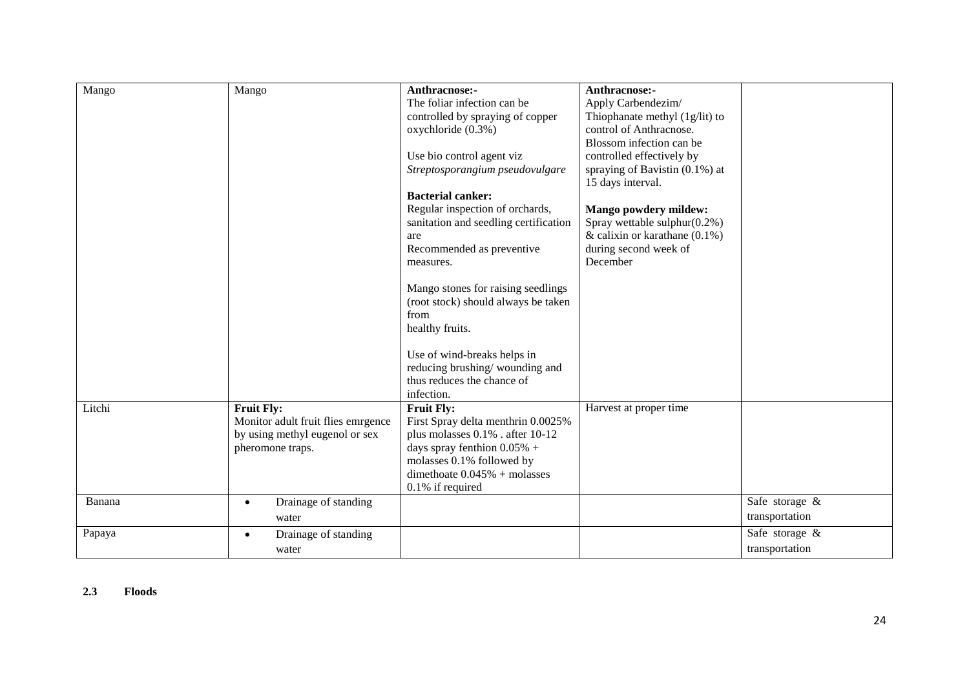| Mango  | Mango                              | Anthracnose:-                         | Anthracnose:-                     |                |
|--------|------------------------------------|---------------------------------------|-----------------------------------|----------------|
|        |                                    | The foliar infection can be           | Apply Carbendezim/                |                |
|        |                                    | controlled by spraying of copper      | Thiophanate methyl (1g/lit) to    |                |
|        |                                    | oxychloride (0.3%)                    | control of Anthracnose.           |                |
|        |                                    |                                       | Blossom infection can be          |                |
|        |                                    | Use bio control agent viz             | controlled effectively by         |                |
|        |                                    | Streptosporangium pseudovulgare       | spraying of Bavistin $(0.1\%)$ at |                |
|        |                                    |                                       | 15 days interval.                 |                |
|        |                                    | <b>Bacterial canker:</b>              |                                   |                |
|        |                                    | Regular inspection of orchards,       | Mango powdery mildew:             |                |
|        |                                    | sanitation and seedling certification | Spray wettable sulphur $(0.2\%)$  |                |
|        |                                    | are                                   | & calixin or karathane $(0.1\%)$  |                |
|        |                                    | Recommended as preventive             | during second week of             |                |
|        |                                    | measures.                             | December                          |                |
|        |                                    |                                       |                                   |                |
|        |                                    | Mango stones for raising seedlings    |                                   |                |
|        |                                    | (root stock) should always be taken   |                                   |                |
|        |                                    | from                                  |                                   |                |
|        |                                    | healthy fruits.                       |                                   |                |
|        |                                    |                                       |                                   |                |
|        |                                    | Use of wind-breaks helps in           |                                   |                |
|        |                                    | reducing brushing/wounding and        |                                   |                |
|        |                                    | thus reduces the chance of            |                                   |                |
|        |                                    | infection.                            |                                   |                |
| Litchi | <b>Fruit Fly:</b>                  | <b>Fruit Fly:</b>                     | Harvest at proper time            |                |
|        | Monitor adult fruit flies emrgence | First Spray delta menthrin 0.0025%    |                                   |                |
|        | by using methyl eugenol or sex     | plus molasses 0.1% . after 10-12      |                                   |                |
|        | pheromone traps.                   | days spray fenthion $0.05\%$ +        |                                   |                |
|        |                                    | molasses 0.1% followed by             |                                   |                |
|        |                                    | dimethoate $0.045%$ + molasses        |                                   |                |
|        |                                    | 0.1% if required                      |                                   |                |
| Banana | Drainage of standing<br>$\bullet$  |                                       |                                   | Safe storage & |
|        | water                              |                                       |                                   | transportation |
| Papaya | Drainage of standing               |                                       |                                   | Safe storage & |
|        | water                              |                                       |                                   | transportation |

#### **2.3 Floods**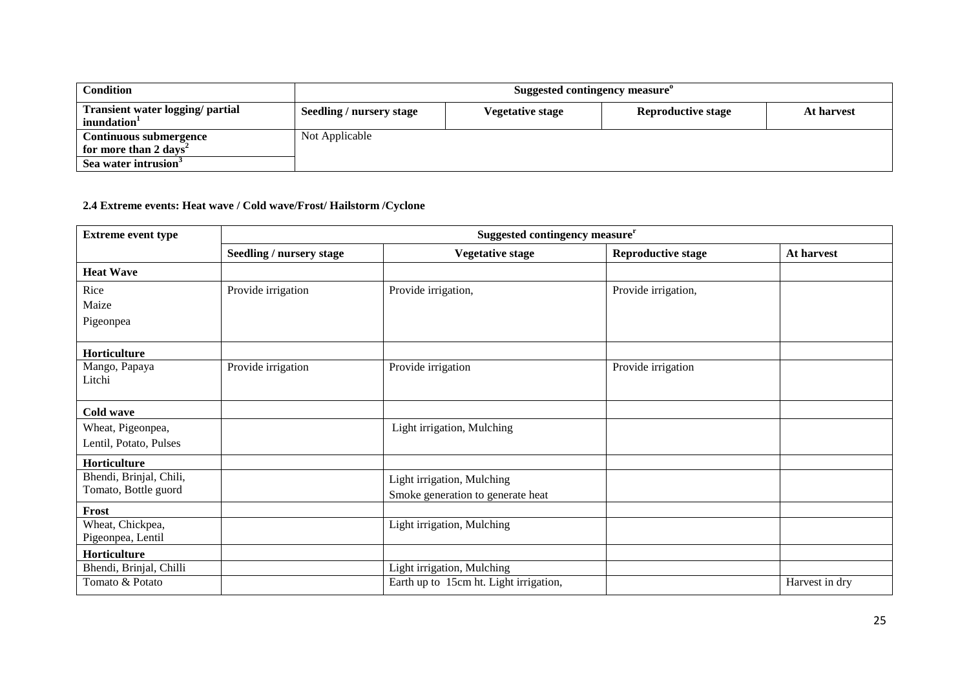| <b>Condition</b>                                                                                | Suggested contingency measure" |                         |                           |            |  |
|-------------------------------------------------------------------------------------------------|--------------------------------|-------------------------|---------------------------|------------|--|
| <b>Transient water logging/ partial</b><br>inundation <sup>1</sup>                              | Seedling / nursery stage       | <b>Vegetative stage</b> | <b>Reproductive stage</b> | At harvest |  |
| Continuous submergence<br>for more than 2 days <sup>2</sup><br>Sea water intrusion <sup>3</sup> | Not Applicable                 |                         |                           |            |  |

## **2.4 Extreme events: Heat wave / Cold wave/Frost/ Hailstorm /Cyclone**

| <b>Extreme event type</b>                       | Suggested contingency measure <sup>r</sup> |                                                                 |                           |                |
|-------------------------------------------------|--------------------------------------------|-----------------------------------------------------------------|---------------------------|----------------|
|                                                 | Seedling / nursery stage                   | <b>Vegetative stage</b>                                         | <b>Reproductive stage</b> | At harvest     |
| <b>Heat Wave</b>                                |                                            |                                                                 |                           |                |
| Rice                                            | Provide irrigation                         | Provide irrigation,                                             | Provide irrigation,       |                |
| Maize                                           |                                            |                                                                 |                           |                |
| Pigeonpea                                       |                                            |                                                                 |                           |                |
| Horticulture                                    |                                            |                                                                 |                           |                |
| Mango, Papaya<br>Litchi                         | Provide irrigation                         | Provide irrigation                                              | Provide irrigation        |                |
| Cold wave                                       |                                            |                                                                 |                           |                |
| Wheat, Pigeonpea,<br>Lentil, Potato, Pulses     |                                            | Light irrigation, Mulching                                      |                           |                |
| Horticulture                                    |                                            |                                                                 |                           |                |
| Bhendi, Brinjal, Chili,<br>Tomato, Bottle guord |                                            | Light irrigation, Mulching<br>Smoke generation to generate heat |                           |                |
| Frost                                           |                                            |                                                                 |                           |                |
| Wheat, Chickpea,<br>Pigeonpea, Lentil           |                                            | Light irrigation, Mulching                                      |                           |                |
| Horticulture                                    |                                            |                                                                 |                           |                |
| Bhendi, Brinjal, Chilli                         |                                            | Light irrigation, Mulching                                      |                           |                |
| Tomato & Potato                                 |                                            | Earth up to 15cm ht. Light irrigation,                          |                           | Harvest in dry |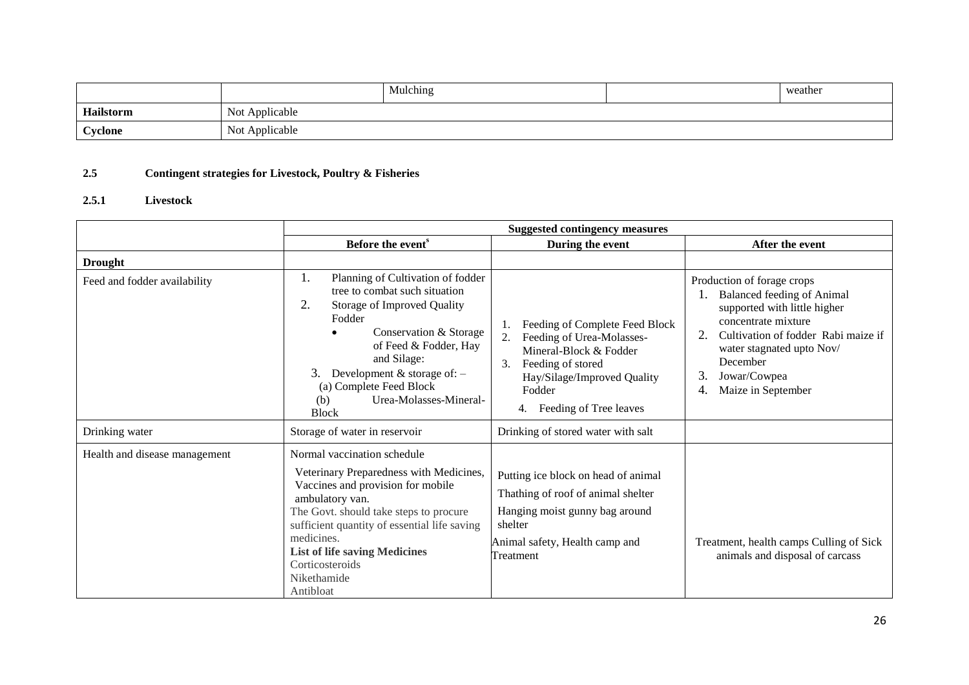|                 |                          | Mulching | weather |
|-----------------|--------------------------|----------|---------|
| Hailstorm       | Not<br>Applicable        |          |         |
| $\alpha$ velone | <b>Not</b><br>Applicable |          |         |

## **2.5 Contingent strategies for Livestock, Poultry & Fisheries**

## **2.5.1 Livestock**

|                               | <b>Suggested contingency measures</b>                                                                                                                                                                                                                                                                                         |                                                                                                                                                                                                 |                                                                                                                                                                                                                                                                |  |
|-------------------------------|-------------------------------------------------------------------------------------------------------------------------------------------------------------------------------------------------------------------------------------------------------------------------------------------------------------------------------|-------------------------------------------------------------------------------------------------------------------------------------------------------------------------------------------------|----------------------------------------------------------------------------------------------------------------------------------------------------------------------------------------------------------------------------------------------------------------|--|
|                               | Before the event <sup>s</sup>                                                                                                                                                                                                                                                                                                 | During the event                                                                                                                                                                                | After the event                                                                                                                                                                                                                                                |  |
| <b>Drought</b>                |                                                                                                                                                                                                                                                                                                                               |                                                                                                                                                                                                 |                                                                                                                                                                                                                                                                |  |
| Feed and fodder availability  | Planning of Cultivation of fodder<br>1.<br>tree to combat such situation<br>2.<br>Storage of Improved Quality<br>Fodder<br>Conservation & Storage<br>of Feed & Fodder, Hay<br>and Silage:<br>Development $&$ storage of: $-$<br>(a) Complete Feed Block<br>Urea-Molasses-Mineral-<br>(b)<br><b>Block</b>                      | Feeding of Complete Feed Block<br>1.<br>Feeding of Urea-Molasses-<br>Mineral-Block & Fodder<br>3.<br>Feeding of stored<br>Hay/Silage/Improved Quality<br>Fodder<br>Feeding of Tree leaves<br>4. | Production of forage crops<br><b>Balanced feeding of Animal</b><br>supported with little higher<br>concentrate mixture<br>Cultivation of fodder Rabi maize if<br>2.<br>water stagnated upto Nov/<br>December<br>3.<br>Jowar/Cowpea<br>Maize in September<br>4. |  |
| Drinking water                | Storage of water in reservoir                                                                                                                                                                                                                                                                                                 | Drinking of stored water with salt                                                                                                                                                              |                                                                                                                                                                                                                                                                |  |
| Health and disease management | Normal vaccination schedule<br>Veterinary Preparedness with Medicines,<br>Vaccines and provision for mobile<br>ambulatory van.<br>The Govt. should take steps to procure<br>sufficient quantity of essential life saving<br>medicines.<br><b>List of life saving Medicines</b><br>Corticosteroids<br>Nikethamide<br>Antibloat | Putting ice block on head of animal<br>Thathing of roof of animal shelter<br>Hanging moist gunny bag around<br>shelter<br>Animal safety, Health camp and<br>Treatment                           | Treatment, health camps Culling of Sick<br>animals and disposal of carcass                                                                                                                                                                                     |  |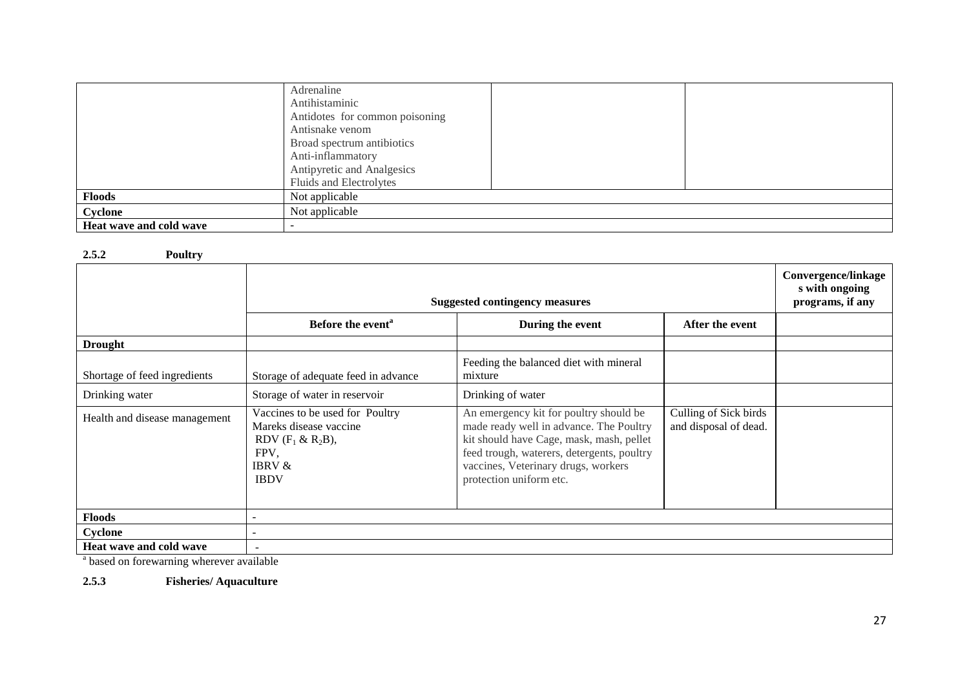|                         | Adrenaline                     |  |
|-------------------------|--------------------------------|--|
|                         | Antihistaminic                 |  |
|                         | Antidotes for common poisoning |  |
|                         | Antisnake venom                |  |
|                         | Broad spectrum antibiotics     |  |
|                         | Anti-inflammatory              |  |
|                         | Antipyretic and Analgesics     |  |
|                         | Fluids and Electrolytes        |  |
| <b>Floods</b>           | Not applicable                 |  |
| Cyclone                 | Not applicable                 |  |
| Heat wave and cold wave |                                |  |

#### **2.5.2 Poultry**

|                                         | <b>Suggested contingency measures</b>                                                                                          | Convergence/linkage<br>s with ongoing<br>programs, if any                                                                                                                                                                                     |                                                |  |  |
|-----------------------------------------|--------------------------------------------------------------------------------------------------------------------------------|-----------------------------------------------------------------------------------------------------------------------------------------------------------------------------------------------------------------------------------------------|------------------------------------------------|--|--|
|                                         | Before the event <sup>a</sup>                                                                                                  | During the event                                                                                                                                                                                                                              | After the event                                |  |  |
| <b>Drought</b>                          |                                                                                                                                |                                                                                                                                                                                                                                               |                                                |  |  |
| Shortage of feed ingredients            | Storage of adequate feed in advance                                                                                            | Feeding the balanced diet with mineral<br>mixture                                                                                                                                                                                             |                                                |  |  |
| Drinking water                          | Storage of water in reservoir                                                                                                  | Drinking of water                                                                                                                                                                                                                             |                                                |  |  |
| Health and disease management           | Vaccines to be used for Poultry<br>Mareks disease vaccine<br>RDV $(F_1 \& R_2B)$ ,<br>FPV,<br><b>IBRV &amp;</b><br><b>IBDV</b> | An emergency kit for poultry should be<br>made ready well in advance. The Poultry<br>kit should have Cage, mask, mash, pellet<br>feed trough, waterers, detergents, poultry<br>vaccines, Veterinary drugs, workers<br>protection uniform etc. | Culling of Sick birds<br>and disposal of dead. |  |  |
| <b>Floods</b>                           |                                                                                                                                |                                                                                                                                                                                                                                               |                                                |  |  |
| Cyclone                                 |                                                                                                                                |                                                                                                                                                                                                                                               |                                                |  |  |
| Heat wave and cold wave                 | $\overline{a}$                                                                                                                 |                                                                                                                                                                                                                                               |                                                |  |  |
| based on forewarning wherever available |                                                                                                                                |                                                                                                                                                                                                                                               |                                                |  |  |

**2.5.3 Fisheries/ Aquaculture**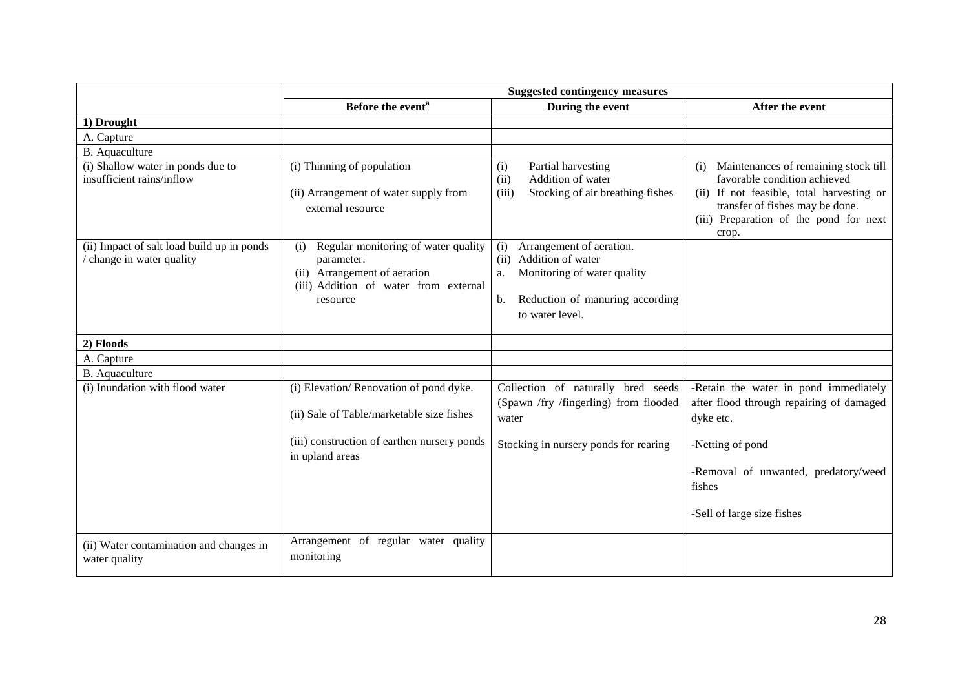|                                                                       | <b>Suggested contingency measures</b>                                                                                                                 |                                                                                                                                                               |                                                                                                                                                                                                                |  |
|-----------------------------------------------------------------------|-------------------------------------------------------------------------------------------------------------------------------------------------------|---------------------------------------------------------------------------------------------------------------------------------------------------------------|----------------------------------------------------------------------------------------------------------------------------------------------------------------------------------------------------------------|--|
|                                                                       | Before the event <sup>a</sup>                                                                                                                         | During the event                                                                                                                                              | After the event                                                                                                                                                                                                |  |
| 1) Drought                                                            |                                                                                                                                                       |                                                                                                                                                               |                                                                                                                                                                                                                |  |
| A. Capture                                                            |                                                                                                                                                       |                                                                                                                                                               |                                                                                                                                                                                                                |  |
| B. Aquaculture                                                        |                                                                                                                                                       |                                                                                                                                                               |                                                                                                                                                                                                                |  |
| (i) Shallow water in ponds due to<br>insufficient rains/inflow        | (i) Thinning of population<br>(ii) Arrangement of water supply from<br>external resource                                                              | Partial harvesting<br>(i)<br>Addition of water<br>(ii)<br>Stocking of air breathing fishes<br>(iii)                                                           | Maintenances of remaining stock till<br>(i)<br>favorable condition achieved<br>(ii) If not feasible, total harvesting or<br>transfer of fishes may be done.<br>(iii) Preparation of the pond for next<br>crop. |  |
| (ii) Impact of salt load build up in ponds<br>change in water quality | Regular monitoring of water quality<br>(i)<br>parameter.<br>(ii) Arrangement of aeration<br>(iii) Addition of water from external<br>resource         | Arrangement of aeration.<br>(i)<br>Addition of water<br>(ii)<br>Monitoring of water quality<br>a.<br>Reduction of manuring according<br>b.<br>to water level. |                                                                                                                                                                                                                |  |
| 2) Floods                                                             |                                                                                                                                                       |                                                                                                                                                               |                                                                                                                                                                                                                |  |
| A. Capture                                                            |                                                                                                                                                       |                                                                                                                                                               |                                                                                                                                                                                                                |  |
| B. Aquaculture                                                        |                                                                                                                                                       |                                                                                                                                                               |                                                                                                                                                                                                                |  |
| (i) Inundation with flood water                                       | (i) Elevation/Renovation of pond dyke.<br>(ii) Sale of Table/marketable size fishes<br>(iii) construction of earthen nursery ponds<br>in upland areas | Collection of naturally bred seeds<br>(Spawn /fry /fingerling) from flooded<br>water<br>Stocking in nursery ponds for rearing                                 | -Retain the water in pond immediately<br>after flood through repairing of damaged<br>dyke etc.<br>-Netting of pond<br>-Removal of unwanted, predatory/weed<br>fishes<br>-Sell of large size fishes             |  |
| (ii) Water contamination and changes in<br>water quality              | Arrangement of regular water quality<br>monitoring                                                                                                    |                                                                                                                                                               |                                                                                                                                                                                                                |  |